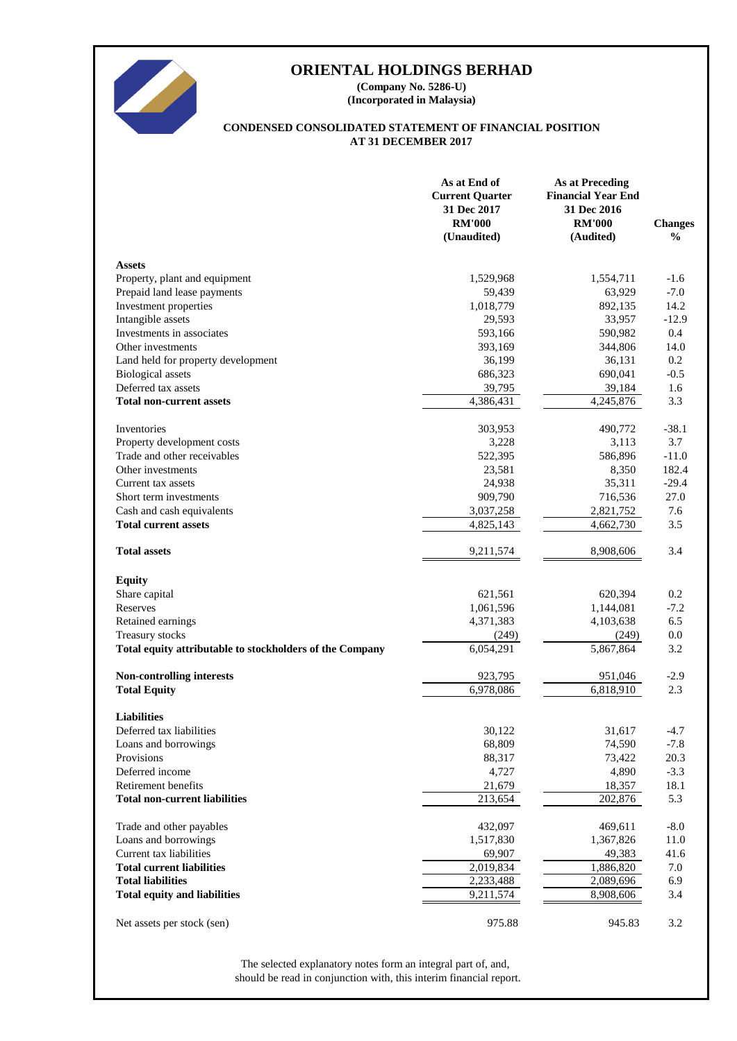

**(Incorporated in Malaysia) (Company No. 5286-U)**

# **AT 31 DECEMBER 2017 CONDENSED CONSOLIDATED STATEMENT OF FINANCIAL POSITION**

|                                                          | As at End of<br><b>Current Quarter</b><br>31 Dec 2017<br><b>RM'000</b><br>(Unaudited) | <b>As at Preceding</b><br><b>Financial Year End</b><br>31 Dec 2016<br><b>RM'000</b><br>(Audited) | <b>Changes</b><br>$\frac{0}{0}$ |
|----------------------------------------------------------|---------------------------------------------------------------------------------------|--------------------------------------------------------------------------------------------------|---------------------------------|
| <b>Assets</b>                                            |                                                                                       |                                                                                                  |                                 |
| Property, plant and equipment                            | 1,529,968                                                                             | 1,554,711                                                                                        | $-1.6$                          |
| Prepaid land lease payments                              | 59,439                                                                                | 63,929                                                                                           | $-7.0$                          |
| Investment properties                                    | 1,018,779                                                                             | 892,135                                                                                          | 14.2                            |
| Intangible assets                                        | 29,593                                                                                | 33,957                                                                                           | $-12.9$                         |
| Investments in associates                                | 593,166                                                                               | 590,982                                                                                          | 0.4                             |
| Other investments                                        | 393,169                                                                               | 344,806                                                                                          | 14.0                            |
| Land held for property development                       | 36,199                                                                                | 36,131                                                                                           | 0.2                             |
| <b>Biological</b> assets                                 | 686,323                                                                               | 690,041                                                                                          | $-0.5$                          |
| Deferred tax assets                                      | 39,795                                                                                | 39,184                                                                                           | 1.6                             |
| <b>Total non-current assets</b>                          | 4,386,431                                                                             | 4,245,876                                                                                        | 3.3                             |
| Inventories                                              | 303,953                                                                               | 490,772                                                                                          | $-38.1$                         |
| Property development costs                               | 3,228                                                                                 | 3,113                                                                                            | 3.7                             |
| Trade and other receivables                              | 522,395                                                                               | 586,896                                                                                          | $-11.0$                         |
| Other investments                                        | 23,581                                                                                | 8,350                                                                                            | 182.4                           |
| Current tax assets                                       | 24,938                                                                                | 35,311                                                                                           | $-29.4$                         |
| Short term investments                                   | 909,790                                                                               | 716,536                                                                                          | 27.0                            |
| Cash and cash equivalents                                | 3,037,258                                                                             | 2,821,752                                                                                        | 7.6                             |
| <b>Total current assets</b>                              | 4,825,143                                                                             | 4,662,730                                                                                        | 3.5                             |
| <b>Total assets</b>                                      | 9,211,574                                                                             | 8,908,606                                                                                        | 3.4                             |
| <b>Equity</b>                                            |                                                                                       |                                                                                                  |                                 |
| Share capital                                            | 621,561                                                                               | 620,394                                                                                          | 0.2                             |
| Reserves                                                 | 1,061,596                                                                             | 1,144,081                                                                                        | $-7.2$                          |
| Retained earnings                                        | 4,371,383                                                                             | 4,103,638                                                                                        | 6.5                             |
| Treasury stocks                                          | (249)                                                                                 | (249)                                                                                            | 0.0                             |
| Total equity attributable to stockholders of the Company | 6.054.291                                                                             | 5,867,864                                                                                        | 3.2                             |
| Non-controlling interests                                | 923,795                                                                               | 951,046                                                                                          | $-2.9$                          |
| <b>Total Equity</b>                                      | 6,978,086                                                                             | 6,818,910                                                                                        | 2.3                             |
| <b>Liabilities</b>                                       |                                                                                       |                                                                                                  |                                 |
| Deferred tax liabilities                                 | 30,122                                                                                | 31,617                                                                                           | $-4.7$                          |
| Loans and borrowings                                     | 68,809                                                                                | 74,590                                                                                           | $-7.8$                          |
| Provisions                                               | 88,317                                                                                | 73,422                                                                                           | 20.3                            |
| Deferred income                                          | 4,727                                                                                 | 4,890                                                                                            | $-3.3$                          |
| Retirement benefits                                      | 21,679                                                                                | 18,357                                                                                           | 18.1                            |
| <b>Total non-current liabilities</b>                     | 213,654                                                                               | 202,876                                                                                          | 5.3                             |
| Trade and other payables                                 | 432,097                                                                               | 469,611                                                                                          | $-8.0$                          |
| Loans and borrowings                                     | 1,517,830                                                                             | 1,367,826                                                                                        | 11.0                            |
| Current tax liabilities                                  | 69,907                                                                                | 49,383                                                                                           | 41.6                            |
| <b>Total current liabilities</b>                         | 2,019,834                                                                             | 1,886,820                                                                                        | 7.0                             |
| <b>Total liabilities</b>                                 | 2,233,488                                                                             | 2,089,696                                                                                        | 6.9                             |
| <b>Total equity and liabilities</b>                      | 9,211,574                                                                             | 8,908,606                                                                                        | 3.4                             |
| Net assets per stock (sen)                               | 975.88                                                                                | 945.83                                                                                           | 3.2                             |

should be read in conjunction with, this interim financial report. The selected explanatory notes form an integral part of, and,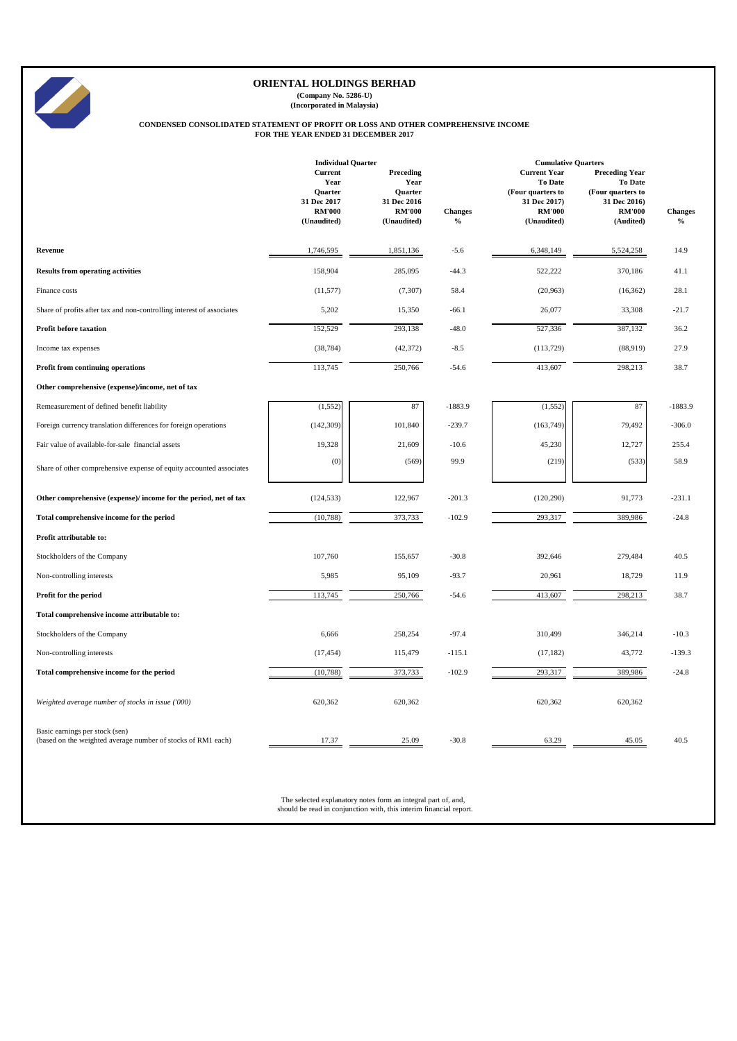|                                                                       | <b>Individual Quarter</b>                                         |                                                              |                | <b>Cumulative Quarters</b>                                                                  |                                                                                               |                |  |  |  |
|-----------------------------------------------------------------------|-------------------------------------------------------------------|--------------------------------------------------------------|----------------|---------------------------------------------------------------------------------------------|-----------------------------------------------------------------------------------------------|----------------|--|--|--|
|                                                                       | <b>Current</b><br>Year<br>Quarter<br>31 Dec 2017<br><b>RM'000</b> | Preceding<br>Year<br>Quarter<br>31 Dec 2016<br><b>RM'000</b> | <b>Changes</b> | <b>Current Year</b><br><b>To Date</b><br>(Four quarters to<br>31 Dec 2017)<br><b>RM'000</b> | <b>Preceding Year</b><br><b>To Date</b><br>(Four quarters to<br>31 Dec 2016)<br><b>RM'000</b> | <b>Changes</b> |  |  |  |
|                                                                       | (Unaudited)                                                       | (Unaudited)                                                  | $\frac{0}{0}$  | (Unaudited)                                                                                 | (Audited)                                                                                     | $\frac{6}{6}$  |  |  |  |
| Revenue                                                               | 1,746,595                                                         | 1,851,136                                                    | $-5.6$         | 6,348,149                                                                                   | 5,524,258                                                                                     | 14.9           |  |  |  |
| <b>Results from operating activities</b>                              | 158,904                                                           | 285,095                                                      | $-44.3$        | 522,222                                                                                     | 370,186                                                                                       | 41.1           |  |  |  |
| Finance costs                                                         | (11,577)                                                          | (7, 307)                                                     | 58.4           | (20,963)                                                                                    | (16, 362)                                                                                     | 28.1           |  |  |  |
| Share of profits after tax and non-controlling interest of associates | 5,202                                                             | 15,350                                                       | $-66.1$        | 26,077                                                                                      | 33,308                                                                                        | $-21.7$        |  |  |  |
| <b>Profit before taxation</b>                                         | 152,529                                                           | 293,138                                                      | $-48.0$        | 527,336                                                                                     | 387,132                                                                                       | 36.2           |  |  |  |
| Income tax expenses                                                   | (38, 784)                                                         | (42, 372)                                                    | $-8.5$         | (113, 729)                                                                                  | (88,919)                                                                                      | 27.9           |  |  |  |
| Profit from continuing operations                                     | 113,745                                                           | 250,766                                                      | $-54.6$        | 413,607                                                                                     | 298,213                                                                                       | 38.7           |  |  |  |
| Other comprehensive (expense)/income, net of tax                      |                                                                   |                                                              |                |                                                                                             |                                                                                               |                |  |  |  |
| Remeasurement of defined benefit liability                            | (1, 552)                                                          | 87                                                           | $-1883.9$      | (1,552)                                                                                     | 87                                                                                            | $-1883.9$      |  |  |  |
| Foreign currency translation differences for foreign operations       | (142, 309)                                                        | 101,840                                                      | $-239.7$       | (163,749)                                                                                   | 79,492                                                                                        | $-306.0$       |  |  |  |
| Fair value of available-for-sale financial assets                     | 19,328                                                            | 21,609                                                       | $-10.6$        | 45,230                                                                                      | 12,727                                                                                        | 255.4          |  |  |  |
| Share of other comprehensive expense of equity accounted associates   | (0)                                                               | (569)                                                        | 99.9           | (219)                                                                                       | (533)                                                                                         | 58.9           |  |  |  |
| Other comprehensive (expense)/ income for the period, net of tax      | (124, 533)                                                        | 122,967                                                      | $-201.3$       | (120, 290)                                                                                  | 91,773                                                                                        | $-231.1$       |  |  |  |
| Total comprehensive income for the period                             | (10, 788)                                                         | 373,733                                                      | $-102.9$       | 293,317                                                                                     | 389,986                                                                                       | $-24.8$        |  |  |  |
| Profit attributable to:                                               |                                                                   |                                                              |                |                                                                                             |                                                                                               |                |  |  |  |
| Stockholders of the Company                                           | 107,760                                                           | 155,657                                                      | $-30.8$        | 392,646                                                                                     | 279,484                                                                                       | 40.5           |  |  |  |
| Non-controlling interests                                             | 5,985                                                             | 95,109                                                       | $-93.7$        | 20,961                                                                                      | 18,729                                                                                        | 11.9           |  |  |  |
| Profit for the period                                                 | 113,745                                                           | 250,766                                                      | $-54.6$        | 413,607                                                                                     | 298,213                                                                                       | 38.7           |  |  |  |
| Total comprehensive income attributable to:                           |                                                                   |                                                              |                |                                                                                             |                                                                                               |                |  |  |  |
| Stockholders of the Company                                           | 6,666                                                             | 258,254                                                      | $-97.4$        | 310,499                                                                                     | 346,214                                                                                       | $-10.3$        |  |  |  |
| Non-controlling interests                                             | (17, 454)                                                         | 115,479                                                      | $-115.1$       | (17, 182)                                                                                   | 43,772                                                                                        | $-139.3$       |  |  |  |
| Total comprehensive income for the period                             | (10, 788)                                                         | 373,733                                                      | $-102.9$       | 293,317                                                                                     | 389,986                                                                                       | $-24.8$        |  |  |  |

| Weighted average number of stocks in issue ('000)                                                                                   | 620,362 | 620,362 |         | 620,362 | 620,362 |      |
|-------------------------------------------------------------------------------------------------------------------------------------|---------|---------|---------|---------|---------|------|
| Basic earnings per stock (sen)<br>(based on the weighted average number of stocks of RM1 each)                                      | 17.37   | 25.09   | $-30.8$ | 63.29   | 45.05   | 40.5 |
| The selected explanatory notes form an integral part of, and,<br>should be read in conjunction with, this interim financial report. |         |         |         |         |         |      |



**(Company No. 5286-U) (Incorporated in Malaysia)**

# **CONDENSED CONSOLIDATED STATEMENT OF PROFIT OR LOSS AND OTHER COMPREHENSIVE INCOME FOR THE YEAR ENDED 31 DECEMBER 2017**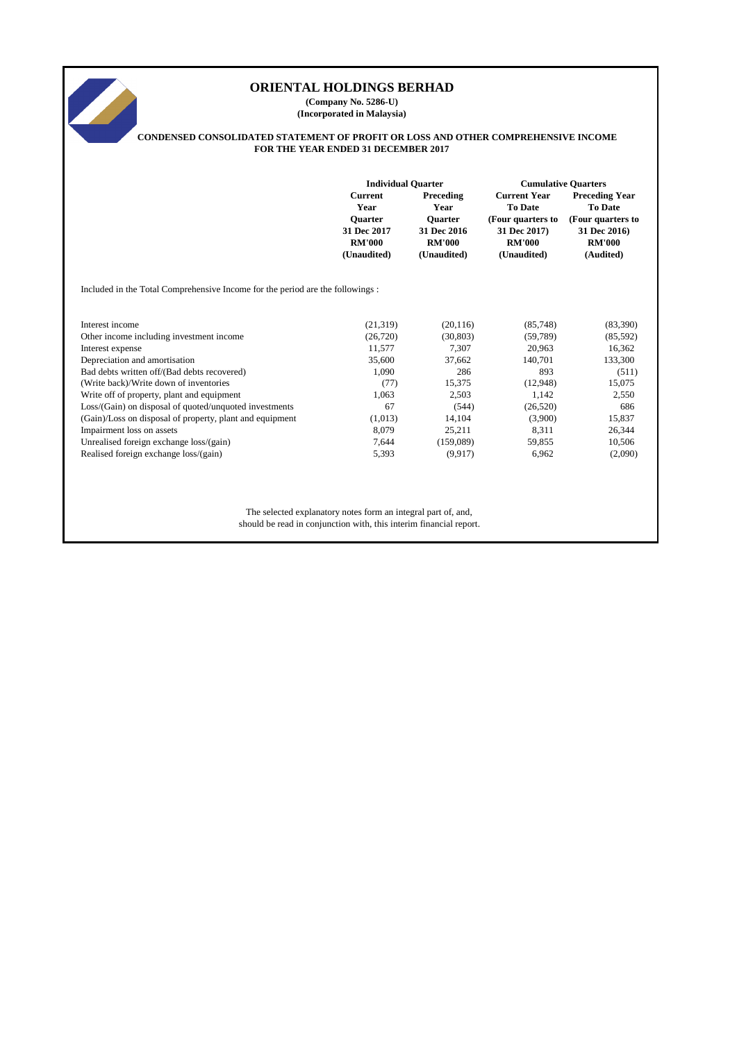**(Company No. 5286-U) (Incorporated in Malaysia)**



# **CONDENSED CONSOLIDATED STATEMENT OF PROFIT OR LOSS AND OTHER COMPREHENSIVE INCOME FOR THE YEAR ENDED 31 DECEMBER 2017**

|                                                                                                                                                                                                                                                                                                                   | <b>Individual Quarter</b><br><b>Current</b><br>Year<br><b>Ouarter</b><br>31 Dec 2017<br><b>RM'000</b><br>(Unaudited) | Preceding<br>Year<br><b>Quarter</b><br>31 Dec 2016<br><b>RM'000</b><br>(Unaudited) | <b>Cumulative Quarters</b><br><b>Current Year</b><br><b>To Date</b><br>(Four quarters to<br>31 Dec 2017)<br><b>RM'000</b><br>(Unaudited) | <b>Preceding Year</b><br><b>To Date</b><br>(Four quarters to<br>31 Dec 2016)<br><b>RM'000</b><br>(Audited) |
|-------------------------------------------------------------------------------------------------------------------------------------------------------------------------------------------------------------------------------------------------------------------------------------------------------------------|----------------------------------------------------------------------------------------------------------------------|------------------------------------------------------------------------------------|------------------------------------------------------------------------------------------------------------------------------------------|------------------------------------------------------------------------------------------------------------|
| Included in the Total Comprehensive Income for the period are the followings :                                                                                                                                                                                                                                    |                                                                                                                      |                                                                                    |                                                                                                                                          |                                                                                                            |
| Interest income<br>Other income including investment income<br>Interest expense<br>Depreciation and amortisation<br>Bad debts written off/(Bad debts recovered)<br>(Write back)/Write down of inventories<br>Write off of property, plant and equipment<br>Loss/(Gain) on disposal of quoted/unquoted investments | (21, 319)<br>(26, 720)<br>11,577<br>35,600<br>1,090<br>(77)<br>1,063<br>67                                           | (20, 116)<br>(30, 803)<br>7,307<br>37,662<br>286<br>15,375<br>2,503<br>(544)       | (85,748)<br>(59,789)<br>20,963<br>140,701<br>893<br>(12,948)<br>1,142<br>(26,520)                                                        | (83,390)<br>(85,592)<br>16,362<br>133,300<br>(511)<br>15,075<br>2,550<br>686                               |
| (Gain)/Loss on disposal of property, plant and equipment<br>Impairment loss on assets<br>Unrealised foreign exchange loss/(gain)<br>Realised foreign exchange loss/(gain)                                                                                                                                         | (1,013)<br>8,079<br>7,644<br>5,393                                                                                   | 14,104<br>25,211<br>(159,089)<br>(9,917)                                           | (3,900)<br>8,311<br>59,855<br>6,962                                                                                                      | 15,837<br>26,344<br>10,506<br>(2,090)                                                                      |
| The selected explanatory notes form an integral part of, and,<br>should be read in conjunction with, this interim financial report.                                                                                                                                                                               |                                                                                                                      |                                                                                    |                                                                                                                                          |                                                                                                            |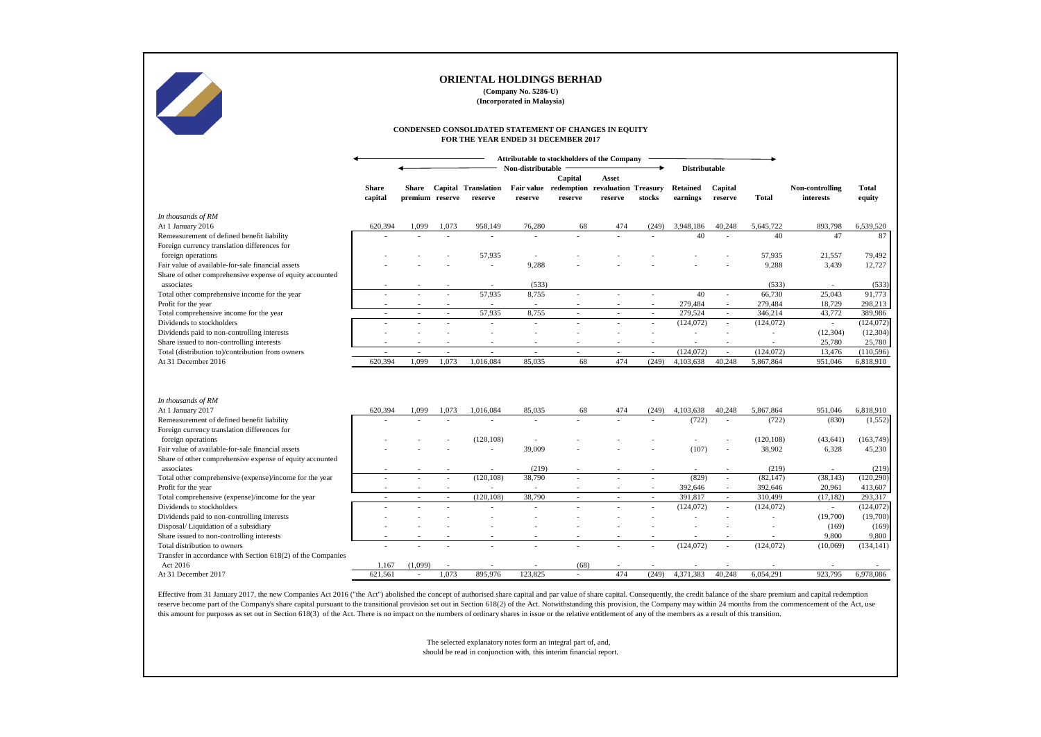|                                                                         |                         |                                                    |        |                                       | (Company No. 5286-U)<br>(Incorporated in Malaysia) | UKIENTAL HULDINGS BEKHAD                                                                     |                         |                          |                             |                    |                      |                              |                        |
|-------------------------------------------------------------------------|-------------------------|----------------------------------------------------|--------|---------------------------------------|----------------------------------------------------|----------------------------------------------------------------------------------------------|-------------------------|--------------------------|-----------------------------|--------------------|----------------------|------------------------------|------------------------|
|                                                                         |                         |                                                    |        |                                       |                                                    | CONDENSED CONSOLIDATED STATEMENT OF CHANGES IN EQUITY<br>FOR THE YEAR ENDED 31 DECEMBER 2017 |                         |                          |                             |                    |                      |                              |                        |
|                                                                         |                         | <b>Attributable to stockholders of the Company</b> |        |                                       |                                                    |                                                                                              |                         |                          |                             |                    |                      |                              |                        |
|                                                                         |                         |                                                    |        |                                       | Non-distributable                                  |                                                                                              |                         |                          | <b>Distributable</b>        |                    |                      |                              |                        |
|                                                                         | <b>Share</b><br>capital | Share<br>premium reserve                           |        | <b>Capital Translation</b><br>reserve | reserve                                            | Capital<br>Fair value redemption revaluation Treasury<br>reserve                             | <b>Asset</b><br>reserve | stocks                   | <b>Retained</b><br>earnings | Capital<br>reserve | <b>Total</b>         | Non-controlling<br>interests | <b>Total</b><br>equity |
| In thousands of RM                                                      |                         |                                                    |        |                                       |                                                    |                                                                                              |                         |                          |                             |                    |                      |                              |                        |
| At 1 January 2016                                                       | 620,394                 | 1,099                                              | 1,073  | 958,149                               | 76,280                                             | 68                                                                                           | 474                     | (249)                    | 3,948,186                   | 40,248             | 5,645,722            | 893,798                      | 6,539,520              |
| Remeasurement of defined benefit liability                              |                         |                                                    |        | $\blacksquare$                        | $\overline{\phantom{a}}$                           |                                                                                              |                         |                          | 40                          |                    | 40                   | 47                           | 87                     |
| Foreign currency translation differences for                            |                         |                                                    |        |                                       |                                                    |                                                                                              |                         |                          |                             |                    |                      |                              |                        |
| foreign operations                                                      |                         |                                                    |        | 57,935                                |                                                    |                                                                                              |                         |                          |                             |                    | 57,935               | 21,557                       | 79,492                 |
| Fair value of available-for-sale financial assets                       |                         |                                                    |        |                                       | 9,288                                              |                                                                                              |                         |                          |                             |                    | 9,288                | 3,439                        | 12,727                 |
| Share of other comprehensive expense of equity accounted                |                         |                                                    |        |                                       |                                                    |                                                                                              |                         |                          |                             |                    |                      |                              |                        |
| associates                                                              |                         |                                                    |        |                                       | (533)                                              |                                                                                              |                         |                          |                             |                    | (533)                |                              | (533)                  |
| Total other comprehensive income for the year                           |                         |                                                    |        | 57,935                                | 8,755                                              |                                                                                              |                         |                          | 40                          |                    | 66,730               | 25,043                       | 91,773                 |
| Profit for the year                                                     |                         |                                                    |        |                                       | $\sim$                                             |                                                                                              |                         |                          | 279,484                     |                    | 279,484              | 18,729                       | 298,213                |
| Total comprehensive income for the year                                 |                         |                                                    |        | 57,935                                | 8,755                                              | $\sim$                                                                                       |                         | $\sim$                   | 279,524                     |                    | 346,214              | 43,772                       | 389,986                |
| Dividends to stockholders                                               |                         |                                                    |        |                                       | $\sim$                                             |                                                                                              |                         | $\blacksquare$           | (124, 072)                  |                    | (124, 072)           | $\blacksquare$               | (124, 072)             |
| Dividends paid to non-controlling interests                             |                         |                                                    |        |                                       |                                                    |                                                                                              |                         |                          |                             |                    |                      | (12,304)                     | (12, 304)              |
| Share issued to non-controlling interests                               |                         |                                                    |        |                                       | $\blacksquare$                                     |                                                                                              |                         |                          |                             |                    |                      | 25,780                       | 25,780                 |
| Total (distribution to)/contribution from owners                        |                         |                                                    |        | $\overline{\phantom{a}}$              | $\overline{\phantom{a}}$                           |                                                                                              |                         | $\overline{\phantom{a}}$ | (124, 072)                  |                    | (124, 072)           | 13,476                       | (110, 596)             |
| At 31 December 2016                                                     | 620,394                 | 1,099                                              | 1,073  | 1,016,084                             | 85,035                                             | 68                                                                                           | 474                     | (249)                    | 4,103,638                   | 40,248             | 5,867,864            | 951,046                      | 6,818,910              |
|                                                                         |                         |                                                    |        |                                       |                                                    |                                                                                              |                         |                          |                             |                    |                      |                              |                        |
| In thousands of RM                                                      |                         |                                                    |        |                                       |                                                    |                                                                                              |                         |                          |                             |                    |                      |                              |                        |
| At 1 January 2017                                                       | 620,394                 | 1,099                                              | 1,073  | 1,016,084                             | 85,035                                             | 68                                                                                           | 474                     | (249)                    | 4,103,638                   | 40,248             | 5,867,864            | 951,046                      | 6,818,910              |
| Remeasurement of defined benefit liability                              |                         |                                                    |        |                                       |                                                    |                                                                                              |                         |                          | (722)                       |                    | (722)                | (830)                        | (1,552)                |
| Foreign currency translation differences for                            |                         |                                                    |        |                                       |                                                    |                                                                                              |                         |                          |                             |                    |                      |                              |                        |
| foreign operations<br>Fair value of available-for-sale financial assets |                         |                                                    |        | (120, 108)                            | 39,009                                             |                                                                                              |                         |                          | (107)                       |                    | (120, 108)<br>38,902 | (43, 641)<br>6,328           | (163, 749)             |
|                                                                         |                         |                                                    |        |                                       |                                                    |                                                                                              |                         |                          |                             |                    |                      |                              | 45,230                 |
| Share of other comprehensive expense of equity accounted<br>associates  |                         |                                                    |        |                                       | (219)                                              |                                                                                              |                         |                          |                             |                    | (219)                |                              | (219)                  |
| Total other comprehensive (expense)/income for the year                 |                         |                                                    |        | (120, 108)                            | 38,790                                             |                                                                                              |                         | $\overline{\phantom{a}}$ | (829)                       |                    | (82, 147)            | (38, 143)                    | (120, 290)             |
| Profit for the year                                                     |                         |                                                    |        |                                       |                                                    |                                                                                              |                         |                          | 392,646                     |                    | 392,646              | 20,961                       | 413,607                |
| Total comprehensive (expense)/income for the year                       |                         |                                                    | $\sim$ | (120, 108)                            | 38,790                                             |                                                                                              | $\sim$                  |                          | 391,817                     |                    | 310,499              | (17, 182)                    | 293,317                |
| Dividends to stockholders                                               |                         |                                                    |        |                                       |                                                    | $\sim$                                                                                       |                         | $\sim$                   |                             | $\sim$             |                      |                              |                        |
| Dividends paid to non-controlling interests                             |                         |                                                    |        |                                       |                                                    |                                                                                              |                         | $\overline{\phantom{a}}$ | (124, 072)                  |                    | (124, 072)           | (19,700)                     | (124,072)<br>(19,700)  |
| Disposal/Liquidation of a subsidiary                                    |                         |                                                    |        |                                       |                                                    |                                                                                              |                         |                          |                             |                    |                      | (169)                        |                        |
| Share issued to non-controlling interests                               |                         |                                                    |        |                                       |                                                    |                                                                                              |                         |                          |                             |                    |                      | 9,800                        | (169)<br>9,800         |
| Total distribution to owners                                            |                         |                                                    |        |                                       |                                                    |                                                                                              |                         | $\overline{\phantom{a}}$ | (124,072)                   | $\sim$             | (124, 072)           | (10,069)                     | (134, 141)             |
| Transfer in accordance with Section 618(2) of the Companies             |                         |                                                    |        |                                       |                                                    |                                                                                              |                         |                          |                             |                    |                      |                              |                        |
| Act 2016                                                                | 1,167                   | (1,099)                                            |        |                                       |                                                    | (68)                                                                                         |                         |                          |                             |                    |                      |                              |                        |
| At 31 December 2017                                                     | 621,561                 | $\sim$                                             | 1,073  | 895,976                               | 123,825                                            | $\sim$                                                                                       | 474                     | (249)                    | 4,371,383                   | 40,248             | 6,054,291            | 923,795                      | 6,978,086              |
|                                                                         |                         |                                                    |        |                                       |                                                    |                                                                                              |                         |                          |                             |                    |                      |                              |                        |

Effective from 31 January 2017, the new Companies Act 2016 ("the Act") abolished the concept of authorised share capital and par value of share capital. Consequently, the credit balance of the share premium and capital red reserve become part of the Company's share capital pursuant to the transitional provision set out in Section 618(2) of the Act. Notwithstanding this provision, the Company may within 24 months from the commencement of the this amount for purposes as set out in Section 618(3) of the Act. There is no impact on the numbers of ordinary shares in issue or the relative entitlement of any of the members as a result of this transition.

# **ORIENTAL HOLDINGS BERHAD**

The selected explanatory notes form an integral part of, and, should be read in conjunction with, this interim financial report.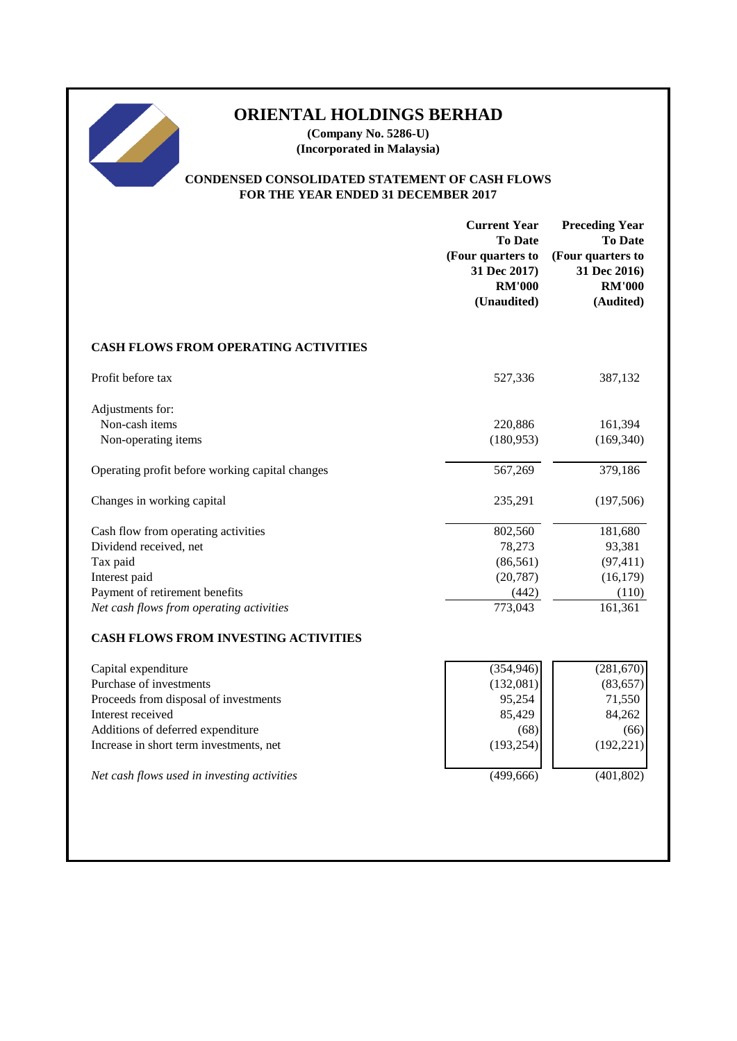**(Company No. 5286-U) (Incorporated in Malaysia)**

# **CONDENSED CONSOLIDATED STATEMENT OF CASH FLOWS FOR THE YEAR ENDED 31 DECEMBER 2017**

|                                                 | <b>Current Year</b><br><b>To Date</b><br>(Four quarters to<br>31 Dec 2017)<br><b>RM'000</b><br>(Unaudited) | <b>Preceding Year</b><br><b>To Date</b><br>(Four quarters to<br>31 Dec 2016)<br><b>RM'000</b><br>(Audited) |
|-------------------------------------------------|------------------------------------------------------------------------------------------------------------|------------------------------------------------------------------------------------------------------------|
| <b>CASH FLOWS FROM OPERATING ACTIVITIES</b>     |                                                                                                            |                                                                                                            |
| Profit before tax                               | 527,336                                                                                                    | 387,132                                                                                                    |
| Adjustments for:<br>Non-cash items              | 220,886                                                                                                    | 161,394                                                                                                    |
| Non-operating items                             | (180, 953)                                                                                                 | (169, 340)                                                                                                 |
| Operating profit before working capital changes | 567,269                                                                                                    | 379,186                                                                                                    |
| Changes in working capital                      | 235,291                                                                                                    | (197,506)                                                                                                  |
| Cash flow from operating activities             | 802,560                                                                                                    | 181,680                                                                                                    |
| Dividend received, net                          | 78,273                                                                                                     | 93,381                                                                                                     |
| Tax paid                                        | (86, 561)                                                                                                  | (97, 411)                                                                                                  |
| Interest paid                                   | (20, 787)                                                                                                  | (16, 179)                                                                                                  |
| Payment of retirement benefits                  | (442)                                                                                                      | (110)                                                                                                      |
| Net cash flows from operating activities        | 773,043                                                                                                    | 161,361                                                                                                    |
| <b>CASH FLOWS FROM INVESTING ACTIVITIES</b>     |                                                                                                            |                                                                                                            |
| Capital expenditure                             | (354, 946)                                                                                                 | (281, 670)                                                                                                 |
| Purchase of investments                         | (132,081)                                                                                                  | (83, 657)                                                                                                  |
| Proceeds from disposal of investments           | 95,254                                                                                                     | 71,550                                                                                                     |
| Interest received                               | 85,429                                                                                                     | 84,262                                                                                                     |
| Additions of deferred expenditure               | (68)                                                                                                       | (66)                                                                                                       |
| Increase in short term investments, net         | (193, 254)                                                                                                 | (192, 221)                                                                                                 |
| Net cash flows used in investing activities     | (499, 666)                                                                                                 | (401, 802)                                                                                                 |
|                                                 |                                                                                                            |                                                                                                            |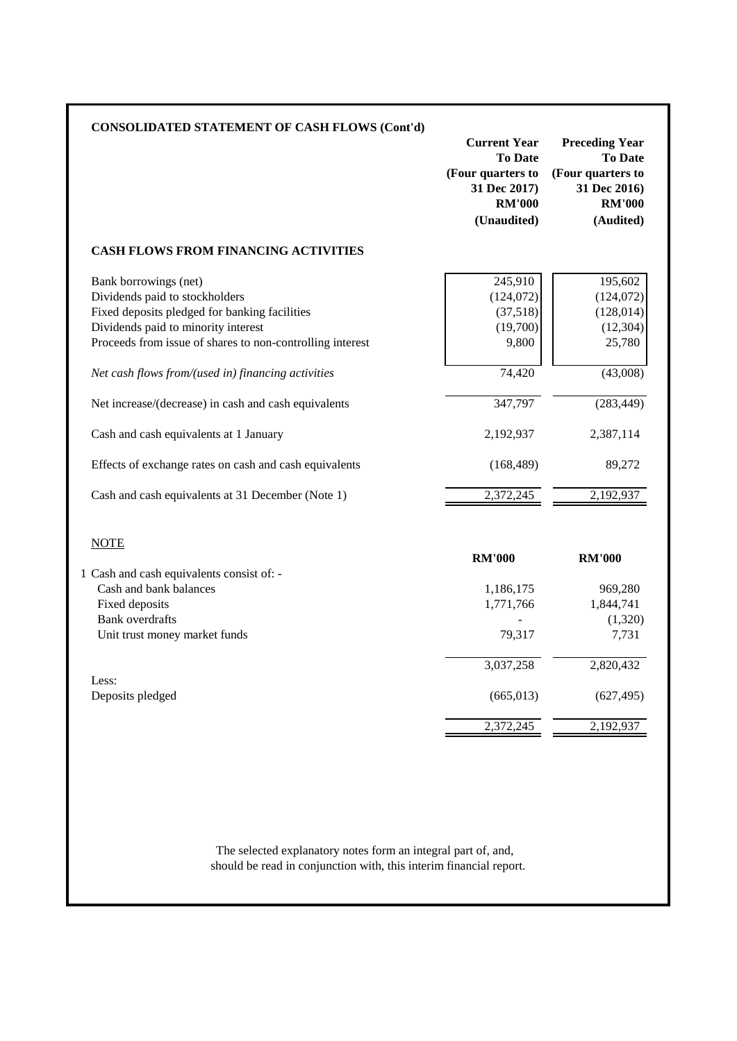|                                                           | <b>Current Year</b><br><b>To Date</b><br>(Four quarters to<br>31 Dec 2017)<br><b>RM'000</b><br>(Unaudited) | <b>Preceding Year</b><br><b>To Date</b><br>(Four quarters to<br>31 Dec 2016)<br><b>RM'000</b><br>(Audited) |
|-----------------------------------------------------------|------------------------------------------------------------------------------------------------------------|------------------------------------------------------------------------------------------------------------|
| <b>CASH FLOWS FROM FINANCING ACTIVITIES</b>               |                                                                                                            |                                                                                                            |
| Bank borrowings (net)                                     | 245,910                                                                                                    | 195,602                                                                                                    |
| Dividends paid to stockholders                            | (124, 072)                                                                                                 | (124, 072)                                                                                                 |
| Fixed deposits pledged for banking facilities             | (37,518)                                                                                                   | (128, 014)                                                                                                 |
| Dividends paid to minority interest                       | (19,700)                                                                                                   | (12, 304)                                                                                                  |
| Proceeds from issue of shares to non-controlling interest | 9,800                                                                                                      | 25,780                                                                                                     |
| Net cash flows from/(used in) financing activities        | 74,420                                                                                                     | (43,008)                                                                                                   |
| Net increase/(decrease) in cash and cash equivalents      | 347,797                                                                                                    | (283, 449)                                                                                                 |
| Cash and cash equivalents at 1 January                    | 2,192,937                                                                                                  | 2,387,114                                                                                                  |
| Effects of exchange rates on cash and cash equivalents    | (168, 489)                                                                                                 | 89,272                                                                                                     |
| Cash and cash equivalents at 31 December (Note 1)         | 2,372,245                                                                                                  | 2,192,937                                                                                                  |
| <b>NOTE</b>                                               |                                                                                                            |                                                                                                            |
|                                                           | <b>RM'000</b>                                                                                              | <b>RM'000</b>                                                                                              |
| 1 Cash and cash equivalents consist of: -                 |                                                                                                            |                                                                                                            |
| Cash and bank balances                                    | 1,186,175                                                                                                  | 969,280                                                                                                    |
| Fixed deposits                                            | 1,771,766                                                                                                  | 1,844,741                                                                                                  |
|                                                           |                                                                                                            | (1,320)                                                                                                    |
| <b>Bank</b> overdrafts                                    |                                                                                                            | 7,731                                                                                                      |
| Unit trust money market funds                             | 79,317                                                                                                     |                                                                                                            |
|                                                           | 3,037,258                                                                                                  | 2,820,432                                                                                                  |
|                                                           |                                                                                                            |                                                                                                            |
| Less:<br>Deposits pledged                                 | (665, 013)                                                                                                 | (627, 495)                                                                                                 |

should be read in conjunction with, this interim financial report.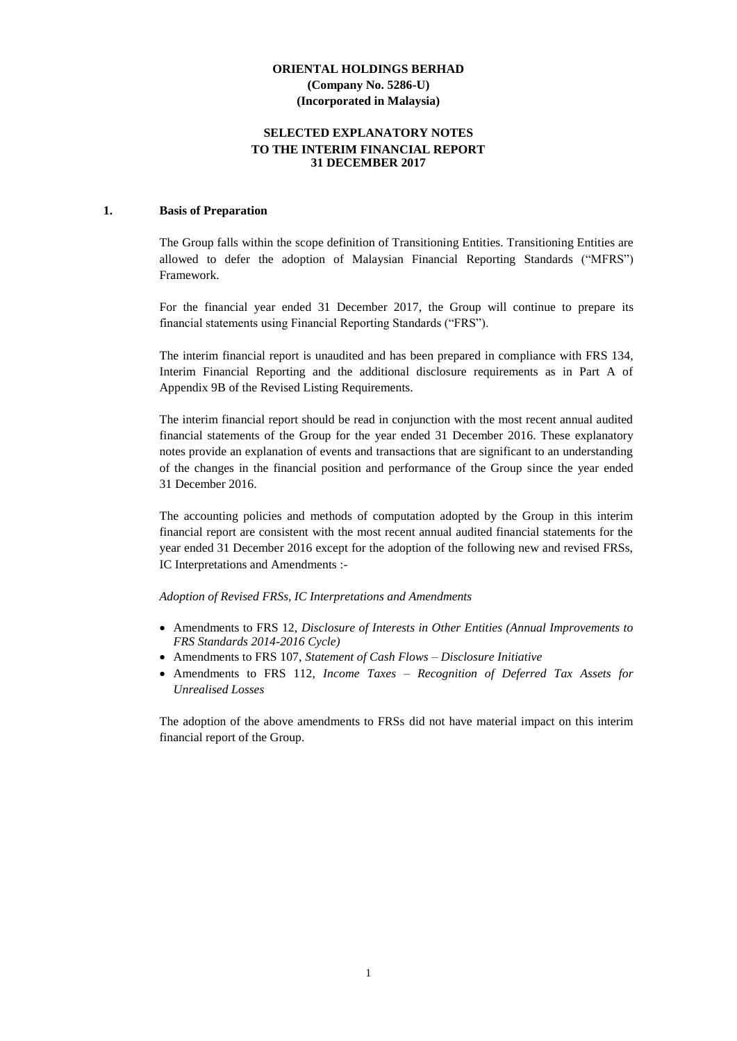# **SELECTED EXPLANATORY NOTES TO THE INTERIM FINANCIAL REPORT 31 DECEMBER 2017**

#### **1. Basis of Preparation**

The Group falls within the scope definition of Transitioning Entities. Transitioning Entities are allowed to defer the adoption of Malaysian Financial Reporting Standards ("MFRS") Framework.

For the financial year ended 31 December 2017, the Group will continue to prepare its financial statements using Financial Reporting Standards ("FRS").

The interim financial report is unaudited and has been prepared in compliance with FRS 134, Interim Financial Reporting and the additional disclosure requirements as in Part A of Appendix 9B of the Revised Listing Requirements.

The interim financial report should be read in conjunction with the most recent annual audited financial statements of the Group for the year ended 31 December 2016. These explanatory notes provide an explanation of events and transactions that are significant to an understanding of the changes in the financial position and performance of the Group since the year ended 31 December 2016.

The accounting policies and methods of computation adopted by the Group in this interim financial report are consistent with the most recent annual audited financial statements for the year ended 31 December 2016 except for the adoption of the following new and revised FRSs, IC Interpretations and Amendments :-

*Adoption of Revised FRSs, IC Interpretations and Amendments*

- Amendments to FRS 12, *Disclosure of Interests in Other Entities (Annual Improvements to FRS Standards 2014-2016 Cycle)*
- Amendments to FRS 107, *Statement of Cash Flows – Disclosure Initiative*
- Amendments to FRS 112, *Income Taxes – Recognition of Deferred Tax Assets for Unrealised Losses*

The adoption of the above amendments to FRSs did not have material impact on this interim financial report of the Group.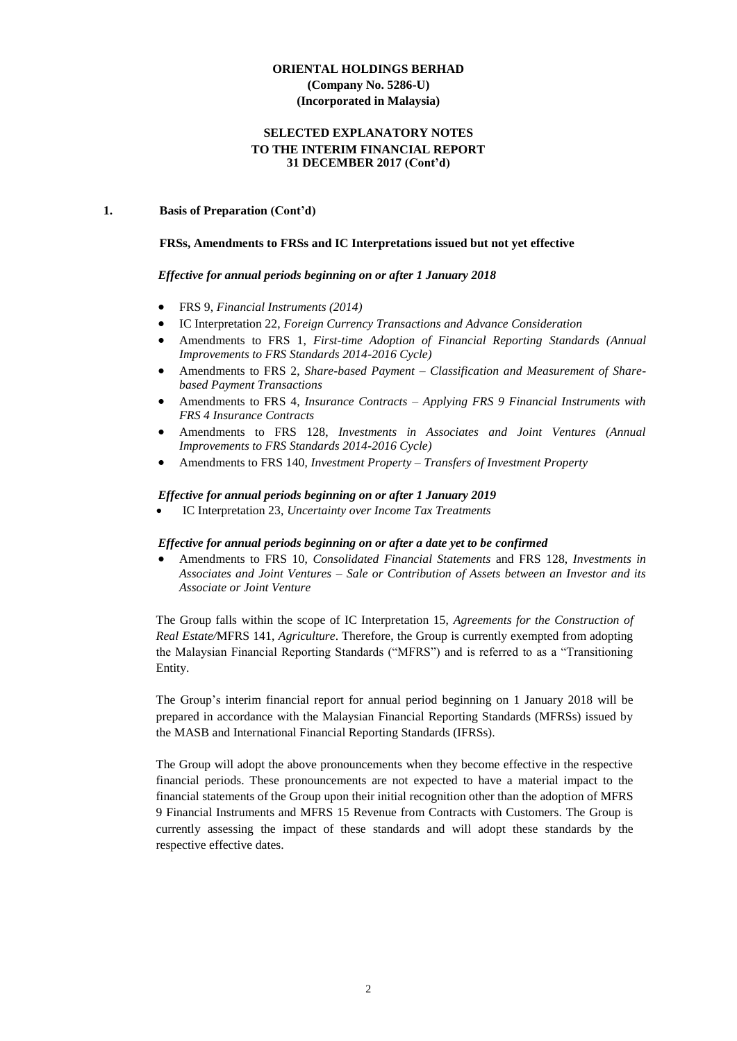# **SELECTED EXPLANATORY NOTES TO THE INTERIM FINANCIAL REPORT 31 DECEMBER 2017 (Cont'd)**

# **1. Basis of Preparation (Cont'd)**

# **FRSs, Amendments to FRSs and IC Interpretations issued but not yet effective**

# *Effective for annual periods beginning on or after 1 January 2018*

- FRS 9, *Financial Instruments (2014)*
- IC Interpretation 22, *Foreign Currency Transactions and Advance Consideration*
- Amendments to FRS 1, *[First-time Adoption of Financial Reporting Standards](http://masb.org.my/pdf/MFRS%201%20042015.pdf) (Annual Improvements to FRS Standards 2014-2016 Cycle)*
- Amendments to FRS 2, *[Share-based Payment](http://www.masb.org.my/pdf/frs2_14sept10.pdf) – Classification and Measurement of Sharebased Payment Transactions*
- Amendments to FRS 4, *Insurance Contracts – Applying FRS 9 Financial Instruments with FRS 4 Insurance Contracts*
- Amendments to FRS 128, *Investments in Associates and Joint Ventures (Annual Improvements to FRS Standards 2014-2016 Cycle)*
- Amendments to FRS 140, *Investment Property – Transfers of Investment Property*

# *Effective for annual periods beginning on or after 1 January 2019*

IC Interpretation 23, *Uncertainty over Income Tax Treatments*

# *Effective for annual periods beginning on or after a date yet to be confirmed*

 Amendments to FRS 10, *Consolidated Financial Statements* and FRS 128, *Investments in Associates and Joint Ventures – Sale or Contribution of Assets between an Investor and its Associate or Joint Venture*

The Group falls within the scope of IC Interpretation 15, *Agreements for the Construction of Real Estate/*MFRS 141, *Agriculture*. Therefore, the Group is currently exempted from adopting the Malaysian Financial Reporting Standards ("MFRS") and is referred to as a "Transitioning Entity.

The Group's interim financial report for annual period beginning on 1 January 2018 will be prepared in accordance with the Malaysian Financial Reporting Standards (MFRSs) issued by the MASB and International Financial Reporting Standards (IFRSs).

The Group will adopt the above pronouncements when they become effective in the respective financial periods. These pronouncements are not expected to have a material impact to the financial statements of the Group upon their initial recognition other than the adoption of MFRS 9 Financial Instruments and MFRS 15 Revenue from Contracts with Customers. The Group is currently assessing the impact of these standards and will adopt these standards by the respective effective dates.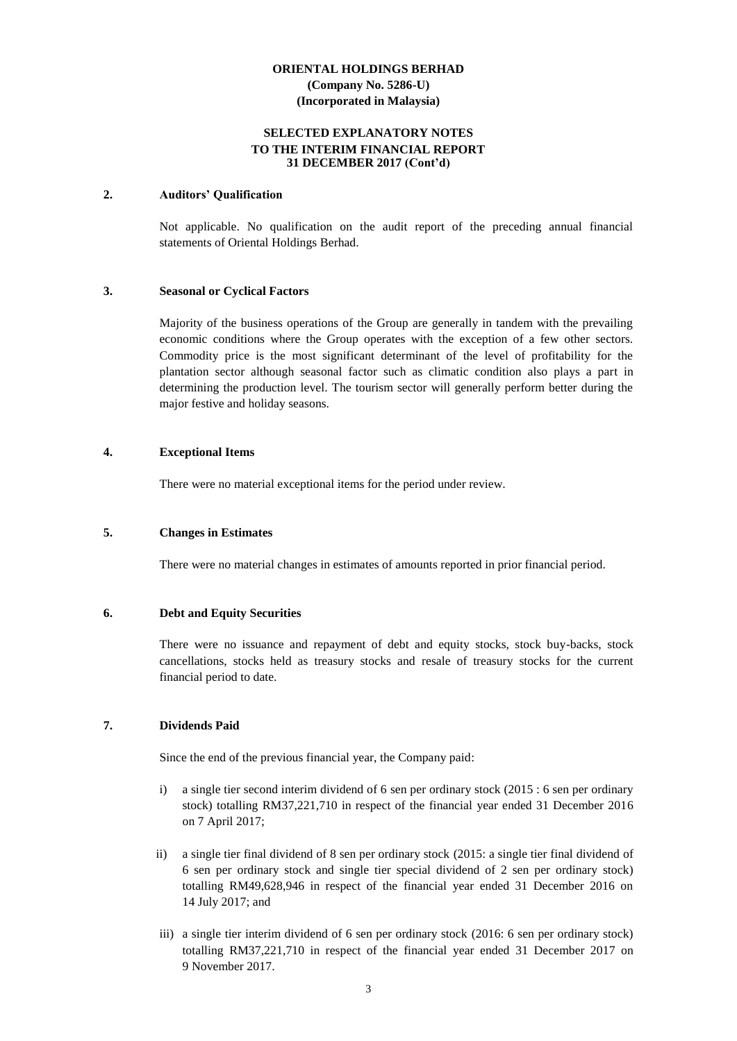# **SELECTED EXPLANATORY NOTES TO THE INTERIM FINANCIAL REPORT 31 DECEMBER 2017 (Cont'd)**

#### **2. Auditors' Qualification**

Not applicable. No qualification on the audit report of the preceding annual financial statements of Oriental Holdings Berhad.

#### **3. Seasonal or Cyclical Factors**

Majority of the business operations of the Group are generally in tandem with the prevailing economic conditions where the Group operates with the exception of a few other sectors. Commodity price is the most significant determinant of the level of profitability for the plantation sector although seasonal factor such as climatic condition also plays a part in determining the production level. The tourism sector will generally perform better during the major festive and holiday seasons.

# **4. Exceptional Items**

There were no material exceptional items for the period under review.

#### **5. Changes in Estimates**

There were no material changes in estimates of amounts reported in prior financial period.

#### **6. Debt and Equity Securities**

There were no issuance and repayment of debt and equity stocks, stock buy-backs, stock cancellations, stocks held as treasury stocks and resale of treasury stocks for the current financial period to date.

#### **7. Dividends Paid**

Since the end of the previous financial year, the Company paid:

- i) a single tier second interim dividend of 6 sen per ordinary stock (2015 : 6 sen per ordinary stock) totalling RM37,221,710 in respect of the financial year ended 31 December 2016 on 7 April 2017;
- ii) a single tier final dividend of 8 sen per ordinary stock (2015: a single tier final dividend of 6 sen per ordinary stock and single tier special dividend of 2 sen per ordinary stock) totalling RM49,628,946 in respect of the financial year ended 31 December 2016 on 14 July 2017; and
- iii) a single tier interim dividend of 6 sen per ordinary stock (2016: 6 sen per ordinary stock) totalling RM37,221,710 in respect of the financial year ended 31 December 2017 on 9 November 2017.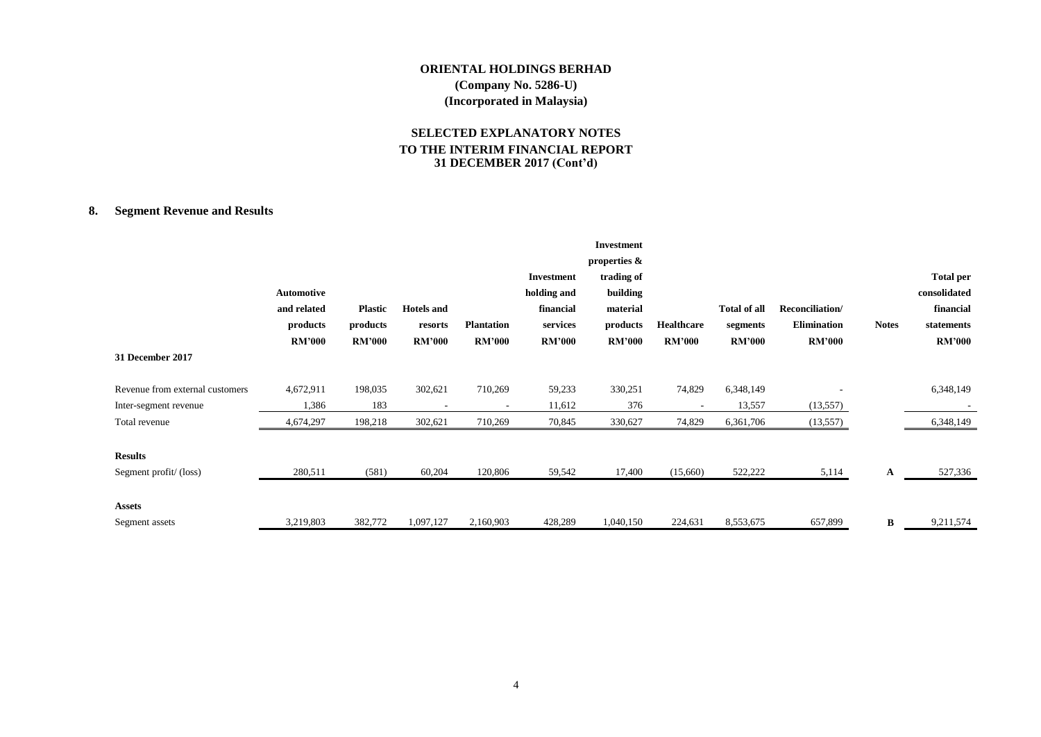# **SELECTED EXPLANATORY NOTES TO THE INTERIM FINANCIAL REPORT 31 DECEMBER 2017 (Cont'd)**

# **8. Segment Revenue and Results**

|                                 |               |                |                   |                   |               | <b>Investment</b> |               |                     |                    |              |                  |
|---------------------------------|---------------|----------------|-------------------|-------------------|---------------|-------------------|---------------|---------------------|--------------------|--------------|------------------|
|                                 |               |                |                   |                   |               | properties &      |               |                     |                    |              |                  |
|                                 |               |                |                   |                   | Investment    | trading of        |               |                     |                    |              | <b>Total per</b> |
|                                 | Automotive    |                |                   |                   | holding and   | building          |               |                     |                    |              | consolidated     |
|                                 | and related   | <b>Plastic</b> | <b>Hotels</b> and |                   | financial     | material          |               | <b>Total of all</b> | Reconciliation/    |              | financial        |
|                                 | products      | products       | resorts           | <b>Plantation</b> | services      | products          | Healthcare    | segments            | <b>Elimination</b> | <b>Notes</b> | statements       |
|                                 | <b>RM'000</b> | <b>RM'000</b>  | <b>RM'000</b>     | <b>RM'000</b>     | <b>RM'000</b> | <b>RM'000</b>     | <b>RM'000</b> | <b>RM'000</b>       | <b>RM'000</b>      |              | <b>RM'000</b>    |
| 31 December 2017                |               |                |                   |                   |               |                   |               |                     |                    |              |                  |
| Revenue from external customers | 4,672,911     | 198,035        | 302,621           | 710,269           | 59,233        | 330,251           | 74,829        | 6,348,149           |                    |              | 6,348,149        |
| Inter-segment revenue           | 1,386         | 183            |                   |                   | 11,612        | 376               |               | 13,557              | (13, 557)          |              |                  |
| Total revenue                   | 4,674,297     | 198,218        | 302,621           | 710,269           | 70,845        | 330,627           | 74,829        | 6,361,706           | (13, 557)          |              | 6,348,149        |
| <b>Results</b>                  |               |                |                   |                   |               |                   |               |                     |                    |              |                  |
| Segment profit/(loss)           | 280,511       | (581)          | 60,204            | 120,806           | 59,542        | 17,400            | (15,660)      | 522,222             | 5,114              | A            | 527,336          |
| <b>Assets</b>                   |               |                |                   |                   |               |                   |               |                     |                    |              |                  |
| Segment assets                  | 3,219,803     | 382,772        | 1,097,127         | 2,160,903         | 428,289       | 1,040,150         | 224,631       | 8,553,675           | 657,899            | В            | 9,211,574        |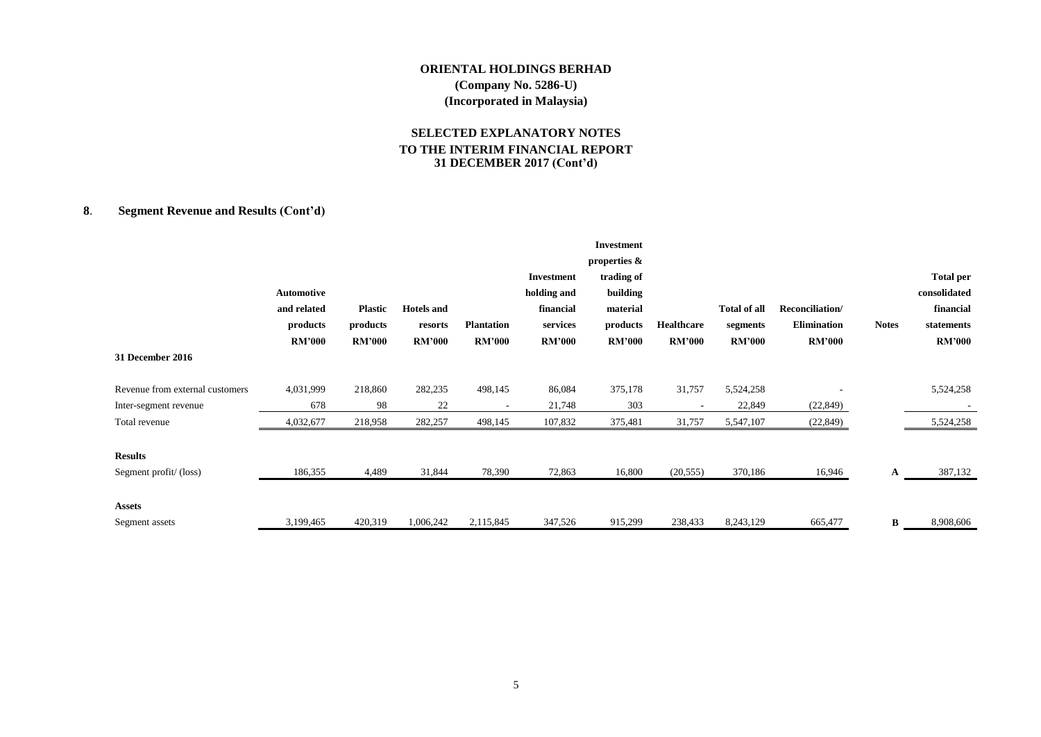# **SELECTED EXPLANATORY NOTES TO THE INTERIM FINANCIAL REPORT 31 DECEMBER 2017 (Cont'd)**

# **8**. **Segment Revenue and Results (Cont'd)**

|                                 |                   |                |                   |                   |               | Investment    |               |                     |                    |              |                  |
|---------------------------------|-------------------|----------------|-------------------|-------------------|---------------|---------------|---------------|---------------------|--------------------|--------------|------------------|
|                                 |                   |                |                   |                   |               | properties &  |               |                     |                    |              |                  |
|                                 |                   |                |                   |                   | Investment    | trading of    |               |                     |                    |              | <b>Total per</b> |
|                                 | <b>Automotive</b> |                |                   |                   | holding and   | building      |               |                     |                    |              | consolidated     |
|                                 | and related       | <b>Plastic</b> | <b>Hotels</b> and |                   | financial     | material      |               | <b>Total of all</b> | Reconciliation/    |              | financial        |
|                                 | products          | products       | resorts           | <b>Plantation</b> | services      | products      | Healthcare    | segments            | <b>Elimination</b> | <b>Notes</b> | statements       |
|                                 | <b>RM'000</b>     | <b>RM'000</b>  | <b>RM'000</b>     | <b>RM'000</b>     | <b>RM'000</b> | <b>RM'000</b> | <b>RM'000</b> | <b>RM'000</b>       | <b>RM'000</b>      |              | <b>RM'000</b>    |
| 31 December 2016                |                   |                |                   |                   |               |               |               |                     |                    |              |                  |
| Revenue from external customers | 4,031,999         | 218,860        | 282,235           | 498,145           | 86,084        | 375,178       | 31,757        | 5,524,258           |                    |              | 5,524,258        |
| Inter-segment revenue           | 678               | 98             | 22                |                   | 21,748        | 303           |               | 22,849              | (22, 849)          |              |                  |
| Total revenue                   | 4,032,677         | 218,958        | 282,257           | 498,145           | 107,832       | 375,481       | 31,757        | 5,547,107           | (22, 849)          |              | 5,524,258        |
| <b>Results</b>                  |                   |                |                   |                   |               |               |               |                     |                    |              |                  |
| Segment profit/(loss)           | 186,355           | 4,489          | 31,844            | 78,390            | 72,863        | 16,800        | (20, 555)     | 370,186             | 16,946             | A            | 387,132          |
| <b>Assets</b>                   |                   |                |                   |                   |               |               |               |                     |                    |              |                  |
| Segment assets                  | 3,199,465         | 420,319        | 1,006,242         | 2,115,845         | 347,526       | 915,299       | 238,433       | 8,243,129           | 665,477            | B            | 8,908,606        |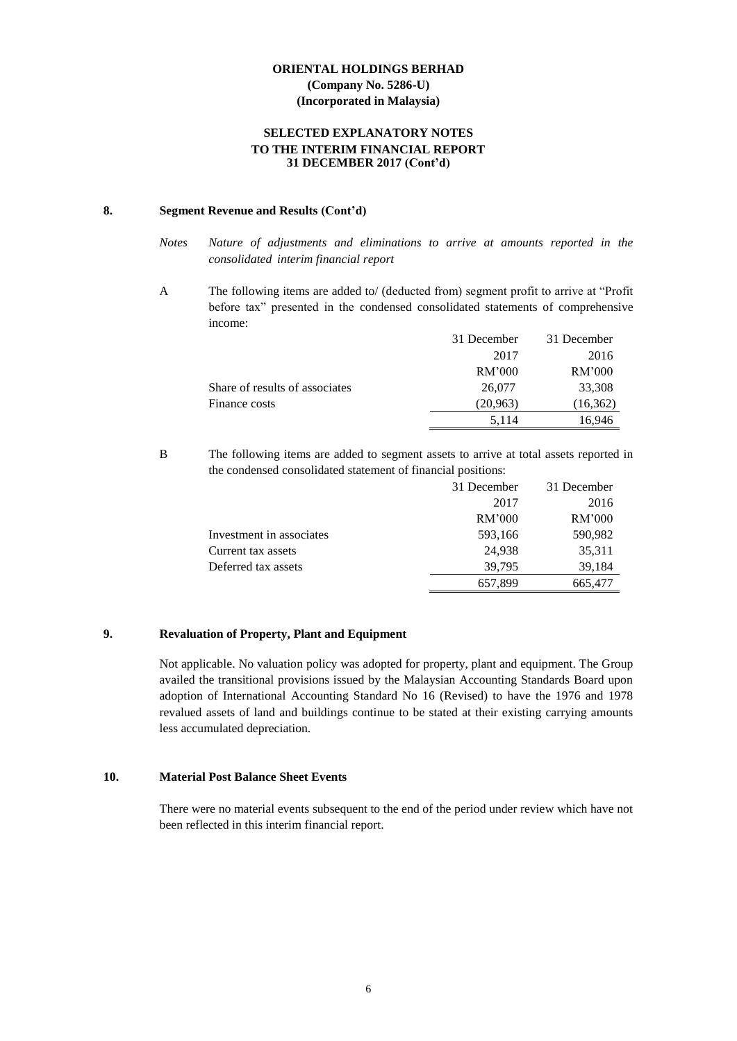# **SELECTED EXPLANATORY NOTES TO THE INTERIM FINANCIAL REPORT 31 DECEMBER 2017 (Cont'd)**

# **8. Segment Revenue and Results (Cont'd)**

A The following items are added to/ (deducted from) segment profit to arrive at "Profit before tax" presented in the condensed consolidated statements of comprehensive income:

|                                | 31 December | 31 December |
|--------------------------------|-------------|-------------|
|                                | 2017        | 2016        |
|                                | RM'000      | RM'000      |
| Share of results of associates | 26,077      | 33,308      |
| Finance costs                  | (20, 963)   | (16, 362)   |
|                                | 5,114       | 16,946      |

B The following items are added to segment assets to arrive at total assets reported in the condensed consolidated statement of financial positions:

|                          | 31 December | 31 December |
|--------------------------|-------------|-------------|
|                          | 2017        | 2016        |
|                          | RM'000      | RM'000      |
| Investment in associates | 593,166     | 590,982     |
| Current tax assets       | 24,938      | 35,311      |
| Deferred tax assets      | 39.795      | 39,184      |
|                          | 657,899     | 665,477     |

# **9. Revaluation of Property, Plant and Equipment**

Not applicable. No valuation policy was adopted for property, plant and equipment. The Group availed the transitional provisions issued by the Malaysian Accounting Standards Board upon adoption of International Accounting Standard No 16 (Revised) to have the 1976 and 1978 revalued assets of land and buildings continue to be stated at their existing carrying amounts less accumulated depreciation.

#### **10. Material Post Balance Sheet Events**

There were no material events subsequent to the end of the period under review which have not been reflected in this interim financial report.

*Notes Nature of adjustments and eliminations to arrive at amounts reported in the consolidated interim financial report*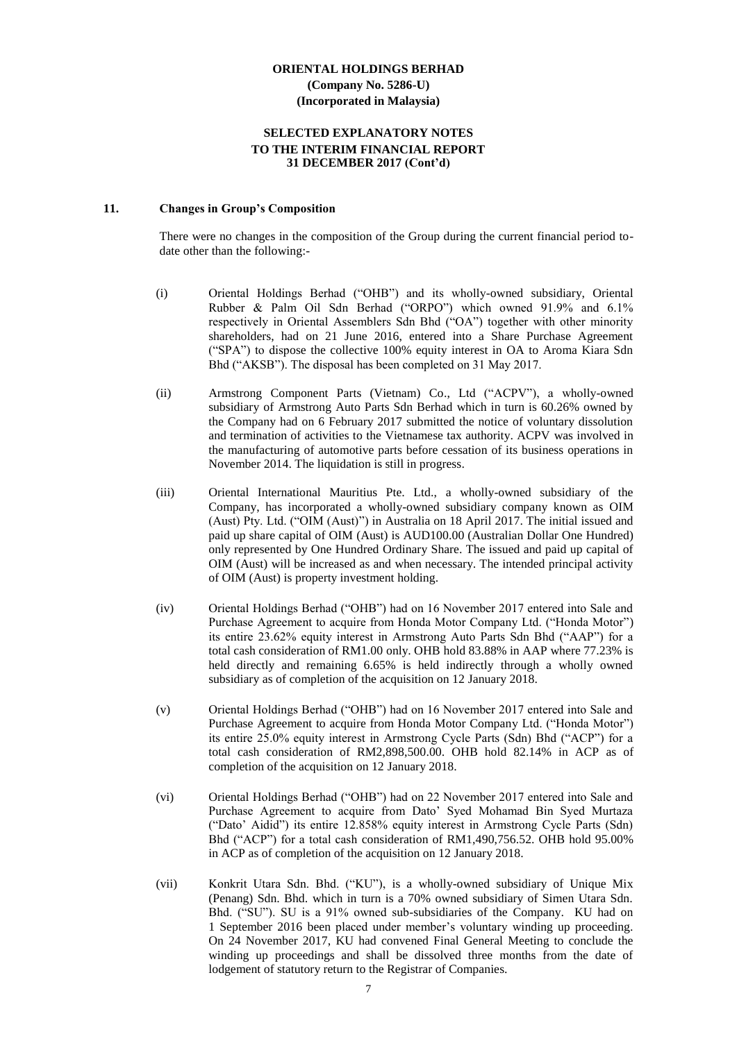# **SELECTED EXPLANATORY NOTES TO THE INTERIM FINANCIAL REPORT 31 DECEMBER 2017 (Cont'd)**

#### **11. Changes in Group's Composition**

There were no changes in the composition of the Group during the current financial period todate other than the following:-

- (i) Oriental Holdings Berhad ("OHB") and its wholly-owned subsidiary, Oriental Rubber & Palm Oil Sdn Berhad ("ORPO") which owned 91.9% and 6.1% respectively in Oriental Assemblers Sdn Bhd ("OA") together with other minority shareholders, had on 21 June 2016, entered into a Share Purchase Agreement ("SPA") to dispose the collective 100% equity interest in OA to Aroma Kiara Sdn Bhd ("AKSB"). The disposal has been completed on 31 May 2017.
- (ii) Armstrong Component Parts (Vietnam) Co., Ltd ("ACPV"), a wholly-owned subsidiary of Armstrong Auto Parts Sdn Berhad which in turn is 60.26% owned by the Company had on 6 February 2017 submitted the notice of voluntary dissolution and termination of activities to the Vietnamese tax authority. ACPV was involved in the manufacturing of automotive parts before cessation of its business operations in November 2014. The liquidation is still in progress.
- (iii) Oriental International Mauritius Pte. Ltd., a wholly-owned subsidiary of the Company, has incorporated a wholly-owned subsidiary company known as OIM (Aust) Pty. Ltd. ("OIM (Aust)") in Australia on 18 April 2017. The initial issued and paid up share capital of OIM (Aust) is AUD100.00 (Australian Dollar One Hundred) only represented by One Hundred Ordinary Share. The issued and paid up capital of OIM (Aust) will be increased as and when necessary. The intended principal activity of OIM (Aust) is property investment holding.
- (iv) Oriental Holdings Berhad ("OHB") had on 16 November 2017 entered into Sale and Purchase Agreement to acquire from Honda Motor Company Ltd. ("Honda Motor") its entire 23.62% equity interest in Armstrong Auto Parts Sdn Bhd ("AAP") for a total cash consideration of RM1.00 only. OHB hold 83.88% in AAP where 77.23% is held directly and remaining 6.65% is held indirectly through a wholly owned subsidiary as of completion of the acquisition on 12 January 2018.
- (v) Oriental Holdings Berhad ("OHB") had on 16 November 2017 entered into Sale and Purchase Agreement to acquire from Honda Motor Company Ltd. ("Honda Motor") its entire 25.0% equity interest in Armstrong Cycle Parts (Sdn) Bhd ("ACP") for a total cash consideration of RM2,898,500.00. OHB hold 82.14% in ACP as of completion of the acquisition on 12 January 2018.
- (vi) Oriental Holdings Berhad ("OHB") had on 22 November 2017 entered into Sale and Purchase Agreement to acquire from Dato' Syed Mohamad Bin Syed Murtaza ("Dato' Aidid") its entire 12.858% equity interest in Armstrong Cycle Parts (Sdn) Bhd ("ACP") for a total cash consideration of RM1,490,756.52. OHB hold 95.00% in ACP as of completion of the acquisition on 12 January 2018.
- (vii) Konkrit Utara Sdn. Bhd. ("KU"), is a wholly-owned subsidiary of Unique Mix (Penang) Sdn. Bhd. which in turn is a 70% owned subsidiary of Simen Utara Sdn. Bhd. ("SU"). SU is a 91% owned sub-subsidiaries of the Company. KU had on 1 September 2016 been placed under member's voluntary winding up proceeding. On 24 November 2017, KU had convened Final General Meeting to conclude the winding up proceedings and shall be dissolved three months from the date of lodgement of statutory return to the Registrar of Companies.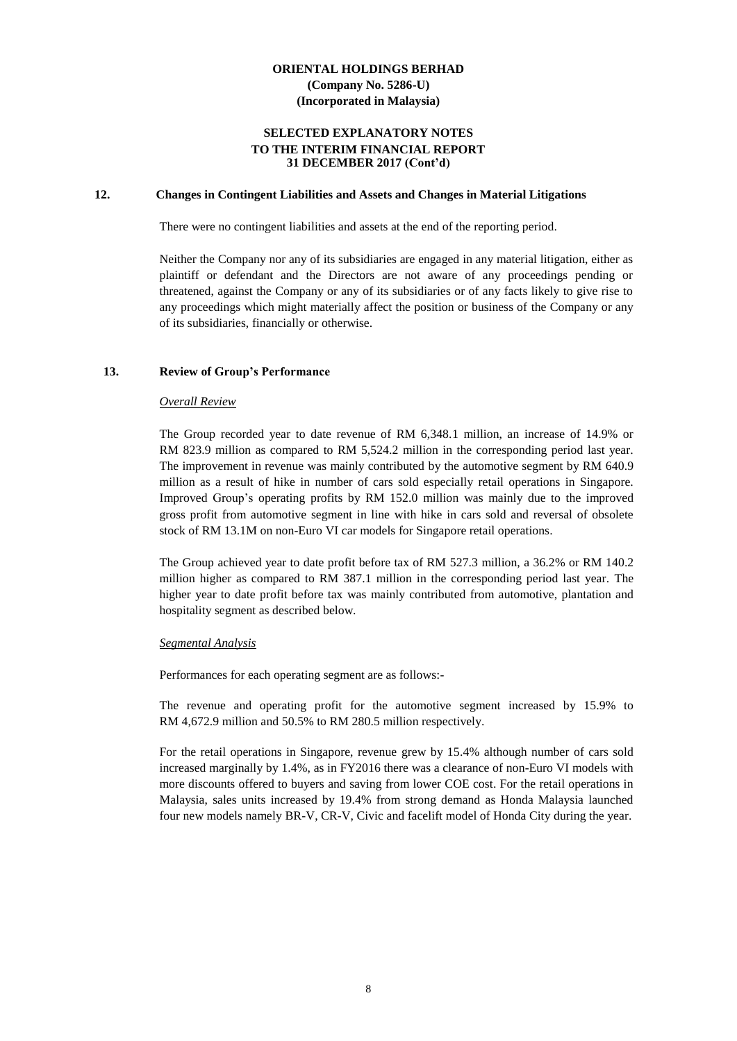# **SELECTED EXPLANATORY NOTES TO THE INTERIM FINANCIAL REPORT 31 DECEMBER 2017 (Cont'd)**

#### **12. Changes in Contingent Liabilities and Assets and Changes in Material Litigations**

There were no contingent liabilities and assets at the end of the reporting period.

Neither the Company nor any of its subsidiaries are engaged in any material litigation, either as plaintiff or defendant and the Directors are not aware of any proceedings pending or threatened, against the Company or any of its subsidiaries or of any facts likely to give rise to any proceedings which might materially affect the position or business of the Company or any of its subsidiaries, financially or otherwise.

## **13. Review of Group's Performance**

#### *Overall Review*

The Group recorded year to date revenue of RM 6,348.1 million, an increase of 14.9% or RM 823.9 million as compared to RM 5,524.2 million in the corresponding period last year. The improvement in revenue was mainly contributed by the automotive segment by RM 640.9 million as a result of hike in number of cars sold especially retail operations in Singapore. Improved Group's operating profits by RM 152.0 million was mainly due to the improved gross profit from automotive segment in line with hike in cars sold and reversal of obsolete stock of RM 13.1M on non-Euro VI car models for Singapore retail operations.

The Group achieved year to date profit before tax of RM 527.3 million, a 36.2% or RM 140.2 million higher as compared to RM 387.1 million in the corresponding period last year. The higher year to date profit before tax was mainly contributed from automotive, plantation and hospitality segment as described below.

#### *Segmental Analysis*

Performances for each operating segment are as follows:-

The revenue and operating profit for the automotive segment increased by 15.9% to RM 4,672.9 million and 50.5% to RM 280.5 million respectively.

For the retail operations in Singapore, revenue grew by 15.4% although number of cars sold increased marginally by 1.4%, as in FY2016 there was a clearance of non-Euro VI models with more discounts offered to buyers and saving from lower COE cost. For the retail operations in Malaysia, sales units increased by 19.4% from strong demand as Honda Malaysia launched four new models namely BR-V, CR-V, Civic and facelift model of Honda City during the year.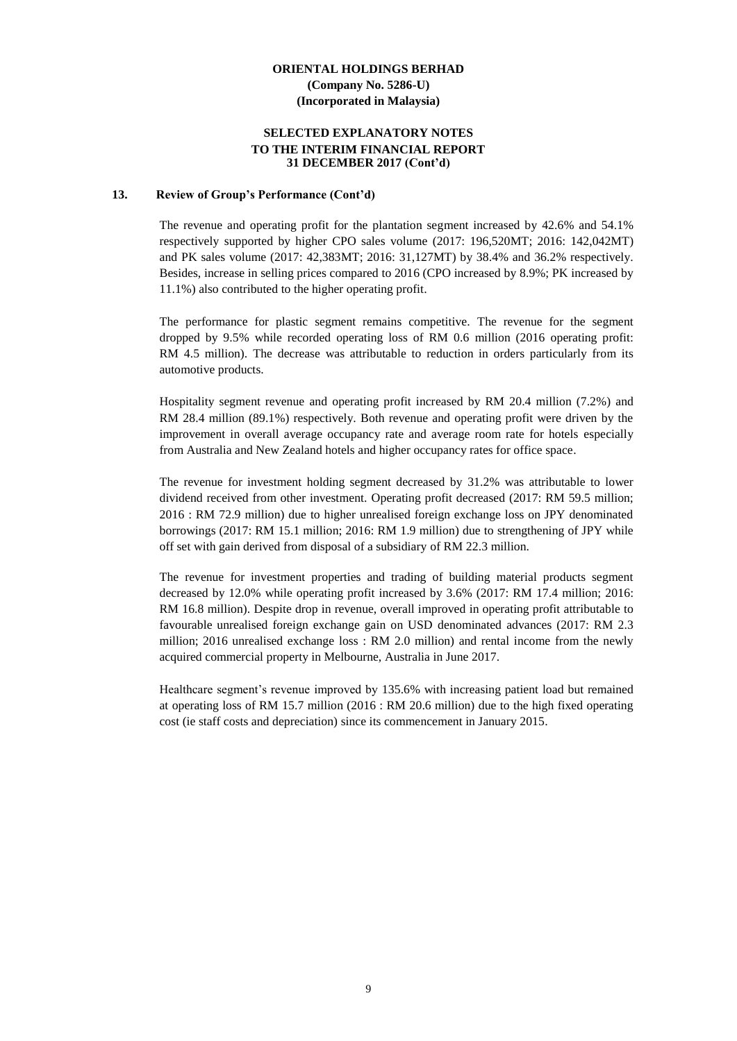# **SELECTED EXPLANATORY NOTES TO THE INTERIM FINANCIAL REPORT 31 DECEMBER 2017 (Cont'd)**

#### **13. Review of Group's Performance (Cont'd)**

The revenue and operating profit for the plantation segment increased by 42.6% and 54.1% respectively supported by higher CPO sales volume (2017: 196,520MT; 2016: 142,042MT) and PK sales volume (2017: 42,383MT; 2016: 31,127MT) by 38.4% and 36.2% respectively. Besides, increase in selling prices compared to 2016 (CPO increased by 8.9%; PK increased by 11.1%) also contributed to the higher operating profit.

The performance for plastic segment remains competitive. The revenue for the segment dropped by 9.5% while recorded operating loss of RM 0.6 million (2016 operating profit: RM 4.5 million). The decrease was attributable to reduction in orders particularly from its automotive products.

Hospitality segment revenue and operating profit increased by RM 20.4 million (7.2%) and RM 28.4 million (89.1%) respectively. Both revenue and operating profit were driven by the improvement in overall average occupancy rate and average room rate for hotels especially from Australia and New Zealand hotels and higher occupancy rates for office space.

The revenue for investment holding segment decreased by 31.2% was attributable to lower dividend received from other investment. Operating profit decreased (2017: RM 59.5 million; 2016 : RM 72.9 million) due to higher unrealised foreign exchange loss on JPY denominated borrowings (2017: RM 15.1 million; 2016: RM 1.9 million) due to strengthening of JPY while off set with gain derived from disposal of a subsidiary of RM 22.3 million.

The revenue for investment properties and trading of building material products segment decreased by 12.0% while operating profit increased by 3.6% (2017: RM 17.4 million; 2016: RM 16.8 million). Despite drop in revenue, overall improved in operating profit attributable to favourable unrealised foreign exchange gain on USD denominated advances (2017: RM 2.3 million; 2016 unrealised exchange loss : RM 2.0 million) and rental income from the newly acquired commercial property in Melbourne, Australia in June 2017.

Healthcare segment's revenue improved by 135.6% with increasing patient load but remained at operating loss of RM 15.7 million (2016 : RM 20.6 million) due to the high fixed operating cost (ie staff costs and depreciation) since its commencement in January 2015.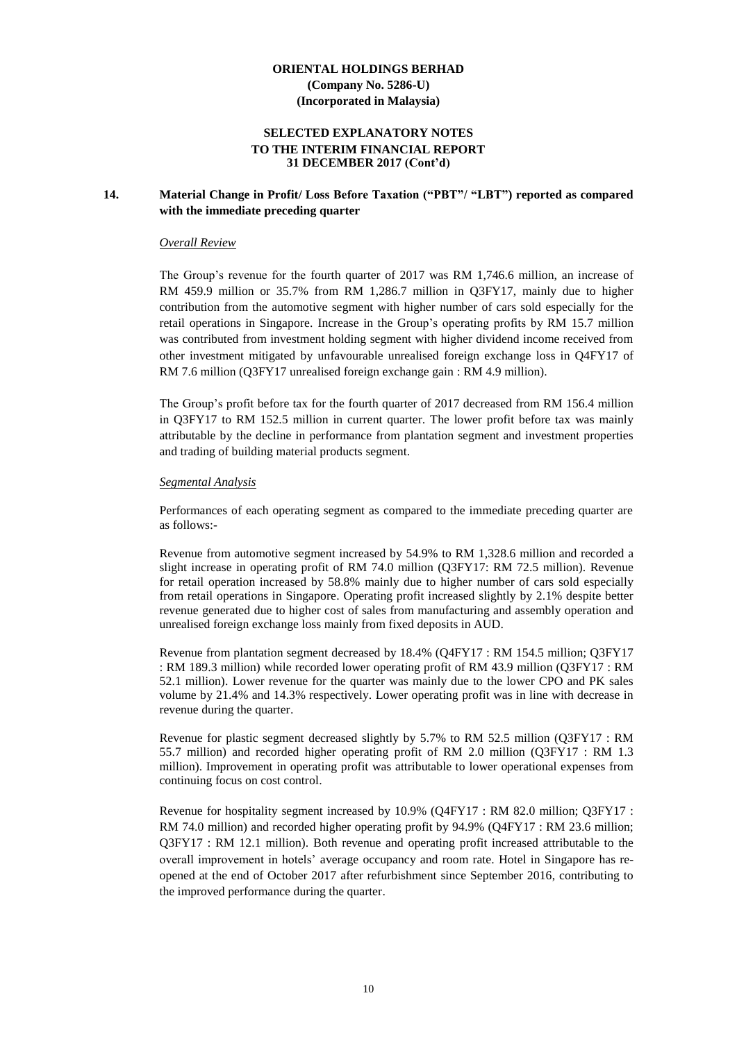# **SELECTED EXPLANATORY NOTES TO THE INTERIM FINANCIAL REPORT 31 DECEMBER 2017 (Cont'd)**

# **14. Material Change in Profit/ Loss Before Taxation ("PBT"/ "LBT") reported as compared with the immediate preceding quarter**

#### *Overall Review*

The Group's revenue for the fourth quarter of 2017 was RM 1,746.6 million, an increase of RM 459.9 million or 35.7% from RM 1,286.7 million in Q3FY17, mainly due to higher contribution from the automotive segment with higher number of cars sold especially for the retail operations in Singapore. Increase in the Group's operating profits by RM 15.7 million was contributed from investment holding segment with higher dividend income received from other investment mitigated by unfavourable unrealised foreign exchange loss in Q4FY17 of RM 7.6 million (Q3FY17 unrealised foreign exchange gain : RM 4.9 million).

The Group's profit before tax for the fourth quarter of 2017 decreased from RM 156.4 million in Q3FY17 to RM 152.5 million in current quarter. The lower profit before tax was mainly attributable by the decline in performance from plantation segment and investment properties and trading of building material products segment.

#### *Segmental Analysis*

Performances of each operating segment as compared to the immediate preceding quarter are as follows:-

Revenue from automotive segment increased by 54.9% to RM 1,328.6 million and recorded a slight increase in operating profit of RM 74.0 million (Q3FY17: RM 72.5 million). Revenue for retail operation increased by 58.8% mainly due to higher number of cars sold especially from retail operations in Singapore. Operating profit increased slightly by 2.1% despite better revenue generated due to higher cost of sales from manufacturing and assembly operation and unrealised foreign exchange loss mainly from fixed deposits in AUD.

Revenue from plantation segment decreased by 18.4% (Q4FY17 : RM 154.5 million; Q3FY17 : RM 189.3 million) while recorded lower operating profit of RM 43.9 million (Q3FY17 : RM 52.1 million). Lower revenue for the quarter was mainly due to the lower CPO and PK sales volume by 21.4% and 14.3% respectively. Lower operating profit was in line with decrease in revenue during the quarter.

Revenue for plastic segment decreased slightly by 5.7% to RM 52.5 million (Q3FY17 : RM 55.7 million) and recorded higher operating profit of RM 2.0 million (Q3FY17 : RM 1.3 million). Improvement in operating profit was attributable to lower operational expenses from continuing focus on cost control.

Revenue for hospitality segment increased by 10.9% (Q4FY17 : RM 82.0 million; Q3FY17 : RM 74.0 million) and recorded higher operating profit by 94.9% (Q4FY17 : RM 23.6 million; Q3FY17 : RM 12.1 million). Both revenue and operating profit increased attributable to the overall improvement in hotels' average occupancy and room rate. Hotel in Singapore has reopened at the end of October 2017 after refurbishment since September 2016, contributing to the improved performance during the quarter.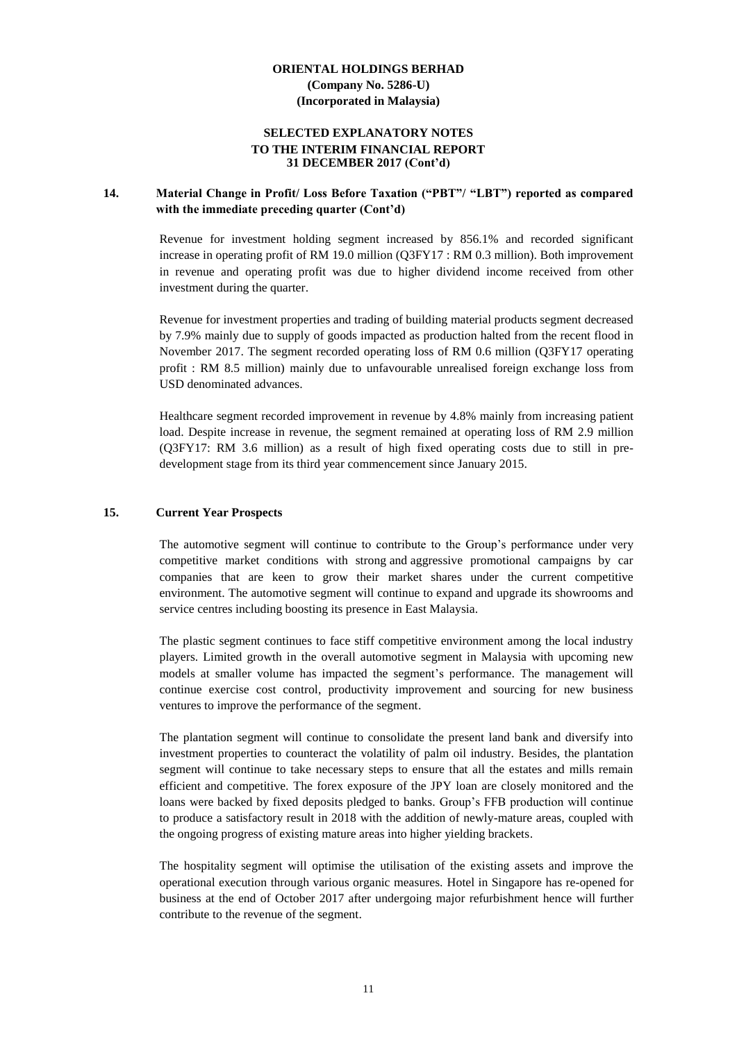# **SELECTED EXPLANATORY NOTES TO THE INTERIM FINANCIAL REPORT 31 DECEMBER 2017 (Cont'd)**

# **14. Material Change in Profit/ Loss Before Taxation ("PBT"/ "LBT") reported as compared with the immediate preceding quarter (Cont'd)**

Revenue for investment holding segment increased by 856.1% and recorded significant increase in operating profit of RM 19.0 million (Q3FY17 : RM 0.3 million). Both improvement in revenue and operating profit was due to higher dividend income received from other investment during the quarter.

Revenue for investment properties and trading of building material products segment decreased by 7.9% mainly due to supply of goods impacted as production halted from the recent flood in November 2017. The segment recorded operating loss of RM 0.6 million (Q3FY17 operating profit : RM 8.5 million) mainly due to unfavourable unrealised foreign exchange loss from USD denominated advances.

Healthcare segment recorded improvement in revenue by 4.8% mainly from increasing patient load. Despite increase in revenue, the segment remained at operating loss of RM 2.9 million (Q3FY17: RM 3.6 million) as a result of high fixed operating costs due to still in predevelopment stage from its third year commencement since January 2015.

#### **15. Current Year Prospects**

The automotive segment will continue to contribute to the Group's performance under very competitive market conditions with strong and aggressive promotional campaigns by car companies that are keen to grow their market shares under the current competitive environment. The automotive segment will continue to expand and upgrade its showrooms and service centres including boosting its presence in East Malaysia.

The plastic segment continues to face stiff competitive environment among the local industry players. Limited growth in the overall automotive segment in Malaysia with upcoming new models at smaller volume has impacted the segment's performance. The management will continue exercise cost control, productivity improvement and sourcing for new business ventures to improve the performance of the segment.

The plantation segment will continue to consolidate the present land bank and diversify into investment properties to counteract the volatility of palm oil industry. Besides, the plantation segment will continue to take necessary steps to ensure that all the estates and mills remain efficient and competitive. The forex exposure of the JPY loan are closely monitored and the loans were backed by fixed deposits pledged to banks. Group's FFB production will continue to produce a satisfactory result in 2018 with the addition of newly-mature areas, coupled with the ongoing progress of existing mature areas into higher yielding brackets.

The hospitality segment will optimise the utilisation of the existing assets and improve the operational execution through various organic measures. Hotel in Singapore has re-opened for business at the end of October 2017 after undergoing major refurbishment hence will further contribute to the revenue of the segment.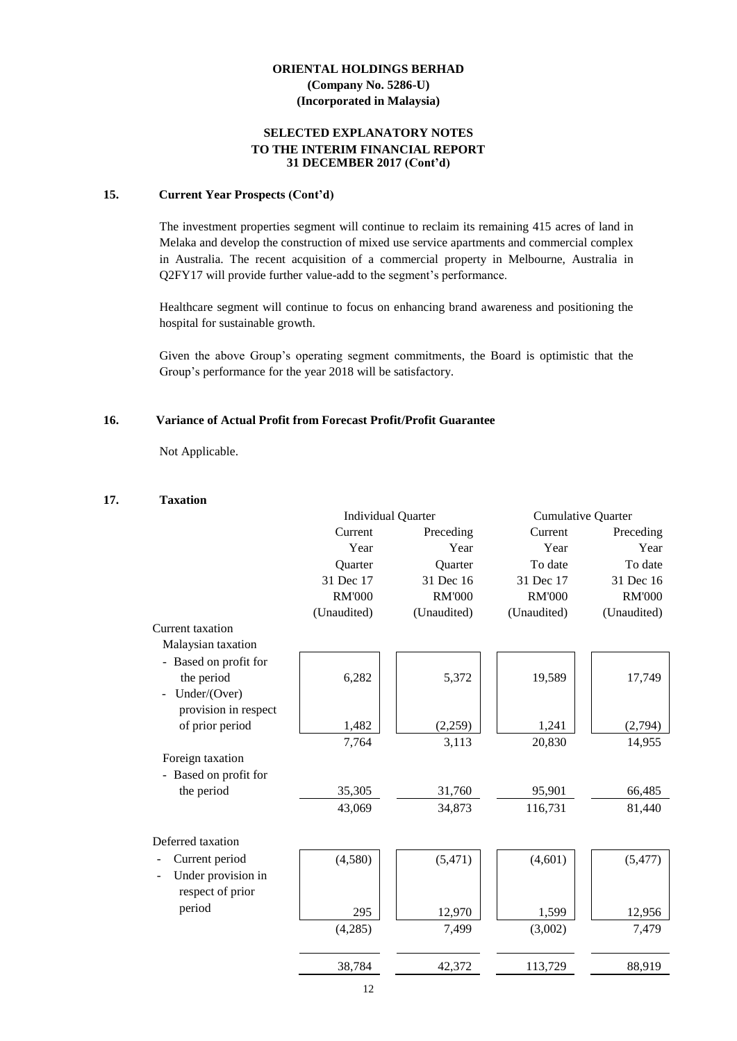# **SELECTED EXPLANATORY NOTES TO THE INTERIM FINANCIAL REPORT 31 DECEMBER 2017 (Cont'd)**

#### **15. Current Year Prospects (Cont'd)**

The investment properties segment will continue to reclaim its remaining 415 acres of land in Melaka and develop the construction of mixed use service apartments and commercial complex in Australia. The recent acquisition of a commercial property in Melbourne, Australia in Q2FY17 will provide further value-add to the segment's performance.

Healthcare segment will continue to focus on enhancing brand awareness and positioning the hospital for sustainable growth.

Given the above Group's operating segment commitments, the Board is optimistic that the Group's performance for the year 2018 will be satisfactory.

#### **16. Variance of Actual Profit from Forecast Profit/Profit Guarantee**

Not Applicable.

#### **17. Taxation**

|                       |               | <b>Individual Quarter</b> | <b>Cumulative Quarter</b> |               |
|-----------------------|---------------|---------------------------|---------------------------|---------------|
|                       | Current       | Preceding                 | Current                   | Preceding     |
|                       | Year          | Year                      | Year                      | Year          |
|                       | Quarter       | Quarter                   | To date                   | To date       |
|                       | 31 Dec 17     | 31 Dec 16                 | 31 Dec 17                 | 31 Dec 16     |
|                       | <b>RM'000</b> | <b>RM'000</b>             | <b>RM'000</b>             | <b>RM'000</b> |
|                       | (Unaudited)   | (Unaudited)               | (Unaudited)               | (Unaudited)   |
| Current taxation      |               |                           |                           |               |
| Malaysian taxation    |               |                           |                           |               |
| - Based on profit for |               |                           |                           |               |
| the period            | 6,282         | 5,372                     | 19,589                    | 17,749        |
| Under/(Over)          |               |                           |                           |               |
| provision in respect  |               |                           |                           |               |
| of prior period       | 1,482         | (2,259)                   | 1,241                     | (2,794)       |
|                       | 7,764         | 3,113                     | 20,830                    | 14,955        |
| Foreign taxation      |               |                           |                           |               |
| - Based on profit for |               |                           |                           |               |
| the period            | 35,305        | 31,760                    | 95,901                    | 66,485        |
|                       | 43,069        | 34,873                    | 116,731                   | 81,440        |
|                       |               |                           |                           |               |
| Deferred taxation     |               |                           |                           |               |
| Current period        | (4,580)       | (5, 471)                  | (4,601)                   | (5, 477)      |
| Under provision in    |               |                           |                           |               |
| respect of prior      |               |                           |                           |               |
| period                | 295           | 12,970                    | 1,599                     | 12,956        |
|                       | (4,285)       | 7,499                     | (3,002)                   | 7,479         |
|                       |               |                           |                           |               |
|                       | 38,784        | 42,372                    | 113,729                   | 88,919        |
|                       |               |                           |                           |               |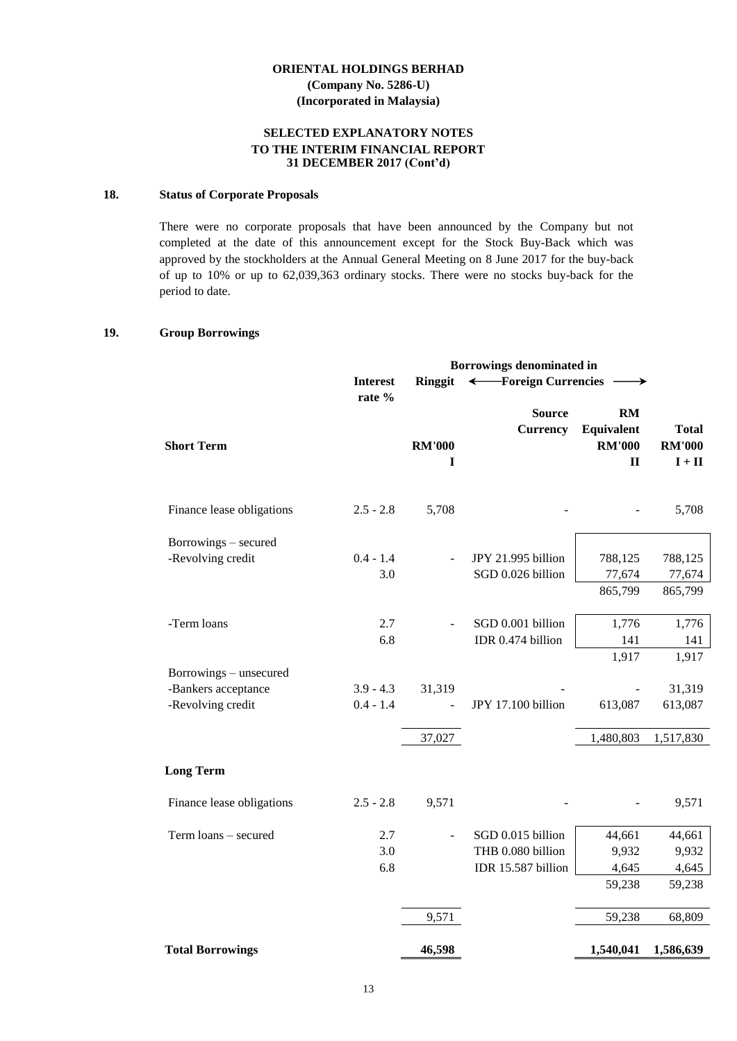# **SELECTED EXPLANATORY NOTES TO THE INTERIM FINANCIAL REPORT 31 DECEMBER 2017 (Cont'd)**

#### **18. Status of Corporate Proposals**

There were no corporate proposals that have been announced by the Company but not completed at the date of this announcement except for the Stock Buy-Back which was approved by the stockholders at the Annual General Meeting on 8 June 2017 for the buy-back of up to 10% or up to 62,039,363 ordinary stocks. There were no stocks buy-back for the period to date.

# **19. Group Borrowings**

|                           |                 | Borrowings denominated in |                                                 |                                                          |                                           |
|---------------------------|-----------------|---------------------------|-------------------------------------------------|----------------------------------------------------------|-------------------------------------------|
|                           | <b>Interest</b> | Ringgit                   | -Foreign Currencies<br>$\overline{\phantom{m}}$ |                                                          |                                           |
| <b>Short Term</b>         | rate %          | <b>RM'000</b><br>I        | <b>Source</b><br><b>Currency</b>                | <b>RM</b><br>Equivalent<br><b>RM'000</b><br>$\mathbf{I}$ | <b>Total</b><br><b>RM'000</b><br>$I + II$ |
| Finance lease obligations | $2.5 - 2.8$     | 5,708                     |                                                 |                                                          | 5,708                                     |
| Borrowings - secured      |                 |                           |                                                 |                                                          |                                           |
| -Revolving credit         | $0.4 - 1.4$     |                           | JPY 21.995 billion                              | 788,125                                                  | 788,125                                   |
|                           | 3.0             |                           | SGD 0.026 billion                               | 77,674                                                   | 77,674                                    |
|                           |                 |                           |                                                 | 865,799                                                  | 865,799                                   |
| -Term loans               | 2.7             |                           | SGD 0.001 billion                               | 1,776                                                    | 1,776                                     |
|                           | 6.8             |                           | IDR 0.474 billion                               | 141                                                      | 141                                       |
|                           |                 |                           |                                                 | 1,917                                                    | 1,917                                     |
| Borrowings - unsecured    |                 |                           |                                                 |                                                          |                                           |
| -Bankers acceptance       | $3.9 - 4.3$     | 31,319                    |                                                 |                                                          | 31,319                                    |
| -Revolving credit         | $0.4 - 1.4$     |                           | JPY 17.100 billion                              | 613,087                                                  | 613,087                                   |
|                           |                 | 37,027                    |                                                 | 1,480,803                                                | 1,517,830                                 |
| <b>Long Term</b>          |                 |                           |                                                 |                                                          |                                           |
| Finance lease obligations | $2.5 - 2.8$     | 9,571                     |                                                 |                                                          | 9,571                                     |
| Term loans - secured      | 2.7             |                           | SGD 0.015 billion                               | 44,661                                                   | 44,661                                    |
|                           | 3.0             |                           | THB 0.080 billion                               | 9,932                                                    | 9,932                                     |
|                           | 6.8             |                           | IDR 15.587 billion                              | 4,645                                                    | 4,645                                     |
|                           |                 |                           |                                                 | 59,238                                                   | 59,238                                    |
|                           |                 | 9,571                     |                                                 | 59,238                                                   | 68,809                                    |
| <b>Total Borrowings</b>   |                 | 46,598                    |                                                 | 1,540,041                                                | 1,586,639                                 |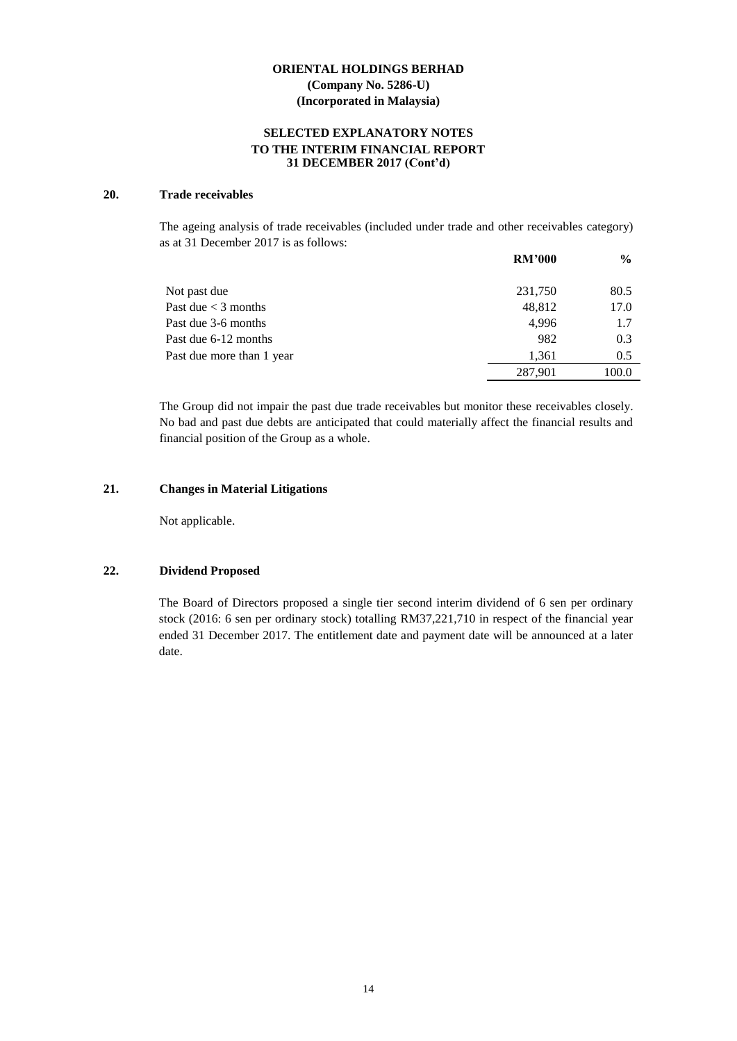# **SELECTED EXPLANATORY NOTES TO THE INTERIM FINANCIAL REPORT 31 DECEMBER 2017 (Cont'd)**

#### **20. Trade receivables**

The ageing analysis of trade receivables (included under trade and other receivables category) as at 31 December 2017 is as follows:

|                           | <b>RM'000</b> | $\frac{6}{9}$ |
|---------------------------|---------------|---------------|
| Not past due              | 231,750       | 80.5          |
| Past due $<$ 3 months     | 48,812        | 17.0          |
| Past due 3-6 months       | 4.996         | 1.7           |
| Past due 6-12 months      | 982           | 0.3           |
| Past due more than 1 year | 1.361         | 0.5           |
|                           | 287,901       | 100.0         |

The Group did not impair the past due trade receivables but monitor these receivables closely. No bad and past due debts are anticipated that could materially affect the financial results and financial position of the Group as a whole.

#### **21. Changes in Material Litigations**

Not applicable.

# **22. Dividend Proposed**

The Board of Directors proposed a single tier second interim dividend of 6 sen per ordinary stock (2016: 6 sen per ordinary stock) totalling RM37,221,710 in respect of the financial year ended 31 December 2017. The entitlement date and payment date will be announced at a later date.